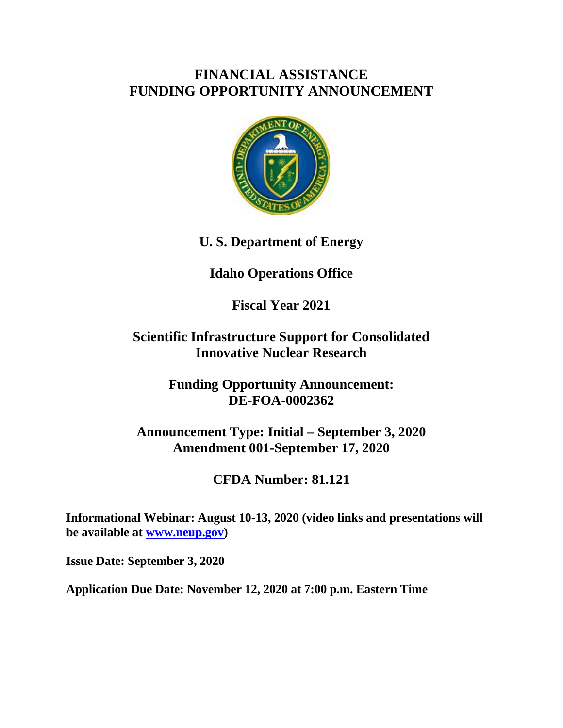# **FINANCIAL ASSISTANCE FUNDING OPPORTUNITY ANNOUNCEMENT**



**U. S. Department of Energy**

# **Idaho Operations Office**

**Fiscal Year 2021**

# **Scientific Infrastructure Support for Consolidated Innovative Nuclear Research**

**Funding Opportunity Announcement: DE-FOA-0002362**

**Announcement Type: Initial – September 3, 2020 Amendment 001-September 17, 2020**

**CFDA Number: 81.121**

**Informational Webinar: August 10-13, 2020 (video links and presentations will be available at [www.neup.gov\)](http://www.neup.gov/)**

**Issue Date: September 3, 2020**

**Application Due Date: November 12, 2020 at 7:00 p.m. Eastern Time**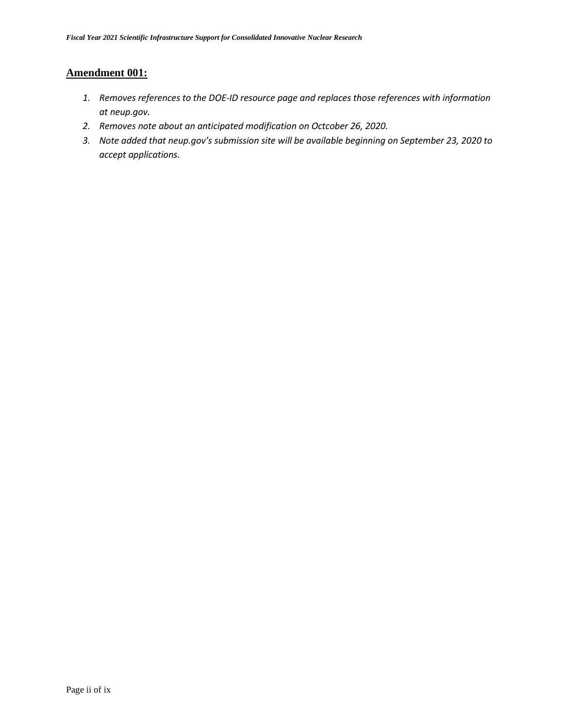# **Amendment 001:**

- *1. Removes references to the DOE-ID resource page and replaces those references with information at neup.gov.*
- *2. Removes note about an anticipated modification on Octcober 26, 2020.*
- *3. Note added that neup.gov's submission site will be available beginning on September 23, 2020 to accept applications.*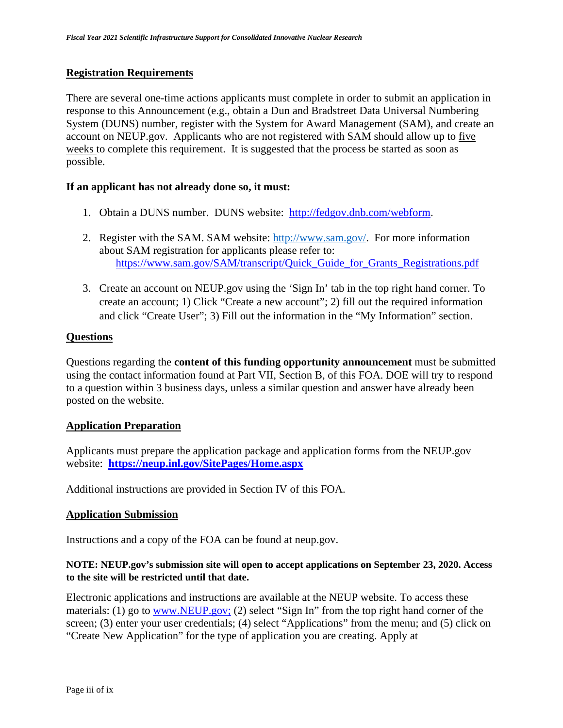### **Registration Requirements**

There are several one-time actions applicants must complete in order to submit an application in response to this Announcement (e.g., obtain a Dun and Bradstreet Data Universal Numbering System (DUNS) number, register with the System for Award Management (SAM), and create an account on NEUP.gov. Applicants who are not registered with SAM should allow up to five weeks to complete this requirement. It is suggested that the process be started as soon as possible.

### **If an applicant has not already done so, it must:**

- 1. Obtain a DUNS number. DUNS website: [http://fedgov.dnb.com/webform.](http://fedgov.dnb.com/webform)
- 2. Register with the SAM. SAM website: [http://www.sam.gov/.](http://www.sam.gov/) For more information about SAM registration for applicants please refer to: https://www.sam.gov/SAM/transcript/Quick Guide for Grants Registrations.pdf
- 3. Create an account on NEUP.gov using the 'Sign In' tab in the top right hand corner. To create an account; 1) Click "Create a new account"; 2) fill out the required information and click "Create User"; 3) Fill out the information in the "My Information" section.

### **Questions**

Questions regarding the **content of this funding opportunity announcement** must be submitted using the contact information found at Part VII, Section B, of this FOA. DOE will try to respond to a question within 3 business days, unless a similar question and answer have already been posted on the website.

### **Application Preparation**

Applicants must prepare the application package and application forms from the NEUP.gov website: **<https://neup.inl.gov/SitePages/Home.aspx>**

Additional instructions are provided in Section IV of this FOA.

### **Application Submission**

Instructions and a copy of the FOA can be found at neup.gov.

### **NOTE: NEUP.gov's submission site will open to accept applications on September 23, 2020. Access to the site will be restricted until that date.**

Electronic applications and instructions are available at the NEUP website. To access these materials: (1) go to <u>www.NEUP.gov;</u> (2) select "Sign In" from the top right hand corner of the screen; (3) enter your user credentials; (4) select "Applications" from the menu; and (5) click on "Create New Application" for the type of application you are creating. Apply at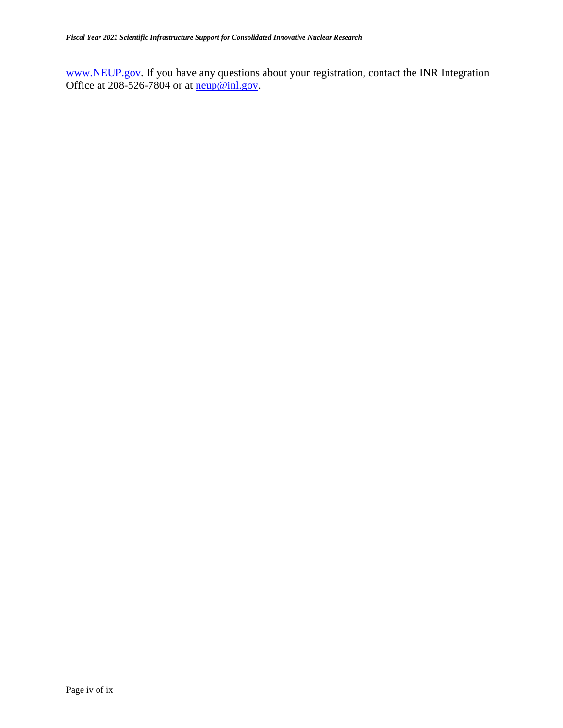[www.NEUP.gov.](http://www.neup.gov/) If you have any questions about your registration, contact the INR Integration Office at 208-526-7804 or at  $\frac{\text{neup@inl.gov}}{\text{neup@inl.gov}}$ .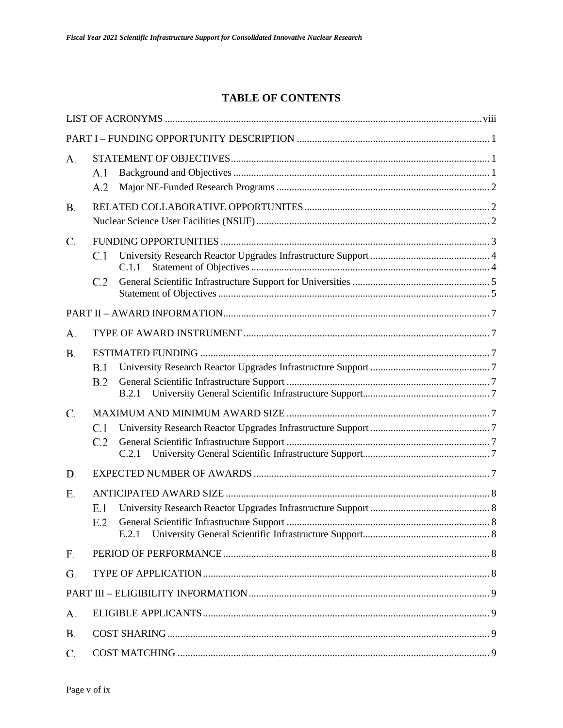# **TABLE OF CONTENTS**

| А.        | A.1<br>A.2          |  |
|-----------|---------------------|--|
| <b>B.</b> |                     |  |
| C.        | C.1<br>C.1.1<br>C.2 |  |
|           |                     |  |
| А.        |                     |  |
| <b>B.</b> | B.1<br>B.2<br>B.2.1 |  |
| C.        | C.1<br>C.2<br>C.2.1 |  |
| D.        |                     |  |
| Ε.        | E.1<br>E.2<br>E.2.1 |  |
| F.        |                     |  |
| G.        |                     |  |
|           |                     |  |
| А.        |                     |  |
| <b>B.</b> |                     |  |
| C.        |                     |  |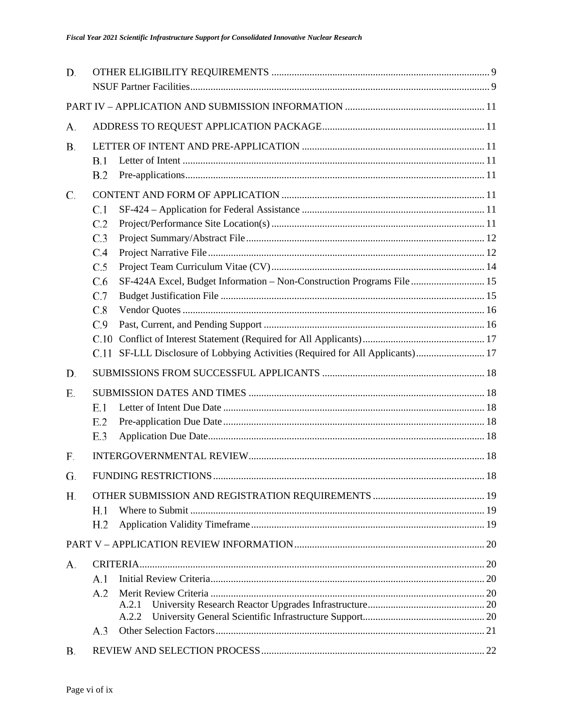| D.        |                                                                                   |     |
|-----------|-----------------------------------------------------------------------------------|-----|
|           |                                                                                   |     |
|           |                                                                                   |     |
| А.        |                                                                                   |     |
| <b>B.</b> |                                                                                   |     |
|           | B.1                                                                               |     |
|           | B.2                                                                               |     |
| C.        |                                                                                   |     |
|           | C.1                                                                               |     |
|           | C.2                                                                               |     |
|           | C.3                                                                               |     |
|           | C.4                                                                               |     |
|           | C.5                                                                               |     |
|           | C.6<br>SF-424A Excel, Budget Information – Non-Construction Programs File 15      |     |
|           | C.7                                                                               |     |
|           | C.8                                                                               |     |
|           | C.9<br>C.10                                                                       |     |
|           | SF-LLL Disclosure of Lobbying Activities (Required for All Applicants) 17<br>C.11 |     |
| D.        |                                                                                   |     |
|           |                                                                                   |     |
| Ε.        |                                                                                   |     |
|           | E.1                                                                               |     |
|           | E.2                                                                               |     |
|           | E.3                                                                               |     |
| F.        |                                                                                   |     |
| G.        | <b>FUNDING RESTRICTIONS</b>                                                       | -18 |
| Н.        |                                                                                   |     |
|           | H.1                                                                               |     |
|           | H <sub>.2</sub>                                                                   |     |
|           |                                                                                   |     |
| А.        |                                                                                   |     |
|           | A.1                                                                               |     |
|           | A.2                                                                               |     |
|           | A.2.1                                                                             |     |
|           | A.2.2                                                                             |     |
|           | A.3                                                                               |     |
| Β.        |                                                                                   |     |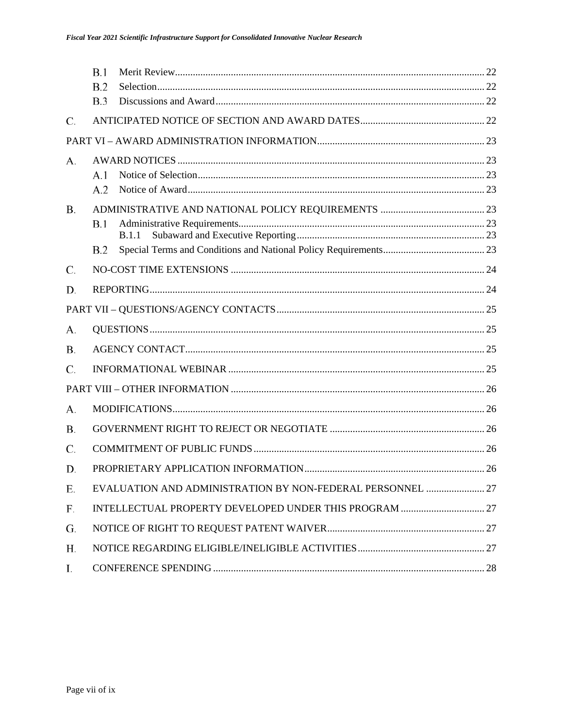|           | <b>B.1</b> |                                                            |  |
|-----------|------------|------------------------------------------------------------|--|
|           | B.2        |                                                            |  |
|           | B.3        |                                                            |  |
| C.        |            |                                                            |  |
|           |            |                                                            |  |
| А.        |            |                                                            |  |
|           | A.1        |                                                            |  |
|           | A.2        |                                                            |  |
| <b>B.</b> |            |                                                            |  |
|           | <b>B.1</b> |                                                            |  |
|           |            | <b>B.1.1</b>                                               |  |
|           | B.2        |                                                            |  |
| C.        |            |                                                            |  |
| D.        |            |                                                            |  |
|           |            |                                                            |  |
| А.        |            |                                                            |  |
| <b>B.</b> |            |                                                            |  |
| C.        |            |                                                            |  |
|           |            |                                                            |  |
| А.        |            |                                                            |  |
| В.        |            |                                                            |  |
| C.        |            |                                                            |  |
| D.        |            |                                                            |  |
| Е.        |            | EVALUATION AND ADMINISTRATION BY NON-FEDERAL PERSONNEL  27 |  |
| F.        |            |                                                            |  |
| G.        |            |                                                            |  |
| Н.        |            |                                                            |  |
| Ι.        |            |                                                            |  |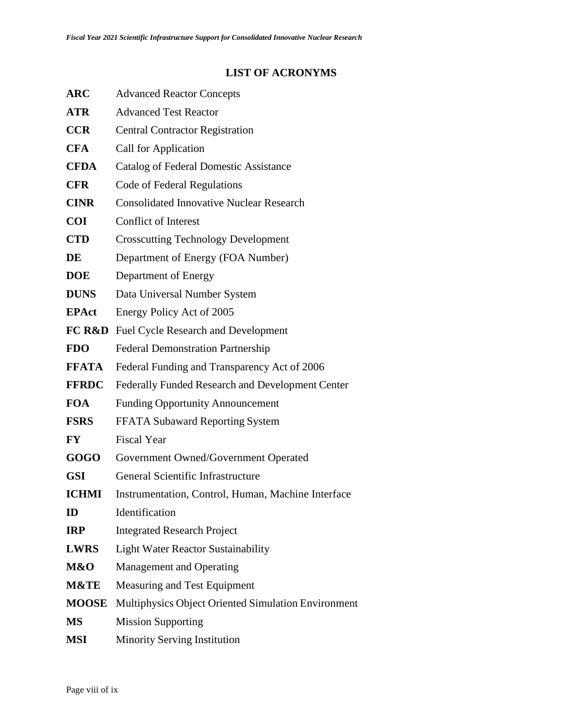# **LIST OF ACRONYMS**

<span id="page-7-0"></span>

| <b>ARC</b>        | <b>Advanced Reactor Concepts</b>                    |  |  |  |
|-------------------|-----------------------------------------------------|--|--|--|
| <b>ATR</b>        | <b>Advanced Test Reactor</b>                        |  |  |  |
| <b>CCR</b>        | <b>Central Contractor Registration</b>              |  |  |  |
| <b>CFA</b>        | Call for Application                                |  |  |  |
| <b>CFDA</b>       | Catalog of Federal Domestic Assistance              |  |  |  |
| <b>CFR</b>        | Code of Federal Regulations                         |  |  |  |
| <b>CINR</b>       | <b>Consolidated Innovative Nuclear Research</b>     |  |  |  |
| <b>COI</b>        | <b>Conflict of Interest</b>                         |  |  |  |
| <b>CTD</b>        | <b>Crosscutting Technology Development</b>          |  |  |  |
| DE                | Department of Energy (FOA Number)                   |  |  |  |
| <b>DOE</b>        | Department of Energy                                |  |  |  |
| <b>DUNS</b>       | Data Universal Number System                        |  |  |  |
| <b>EPAct</b>      | Energy Policy Act of 2005                           |  |  |  |
| <b>FC R&amp;D</b> | <b>Fuel Cycle Research and Development</b>          |  |  |  |
| <b>FDO</b>        | <b>Federal Demonstration Partnership</b>            |  |  |  |
| <b>FFATA</b>      | Federal Funding and Transparency Act of 2006        |  |  |  |
| <b>FFRDC</b>      | Federally Funded Research and Development Center    |  |  |  |
| <b>FOA</b>        | <b>Funding Opportunity Announcement</b>             |  |  |  |
| <b>FSRS</b>       | FFATA Subaward Reporting System                     |  |  |  |
| <b>FY</b>         | <b>Fiscal Year</b>                                  |  |  |  |
| GOGO              | Government Owned/Government Operated                |  |  |  |
| <b>GSI</b>        | General Scientific Infrastructure                   |  |  |  |
| <b>ICHMI</b>      | Instrumentation, Control, Human, Machine Interface  |  |  |  |
| ID                | Identification                                      |  |  |  |
| <b>IRP</b>        | <b>Integrated Research Project</b>                  |  |  |  |
| <b>LWRS</b>       | <b>Light Water Reactor Sustainability</b>           |  |  |  |
| M&O               | <b>Management and Operating</b>                     |  |  |  |
| M&TE              | Measuring and Test Equipment                        |  |  |  |
| <b>MOOSE</b>      | Multiphysics Object Oriented Simulation Environment |  |  |  |
| <b>MS</b>         | <b>Mission Supporting</b>                           |  |  |  |
| <b>MSI</b>        | <b>Minority Serving Institution</b>                 |  |  |  |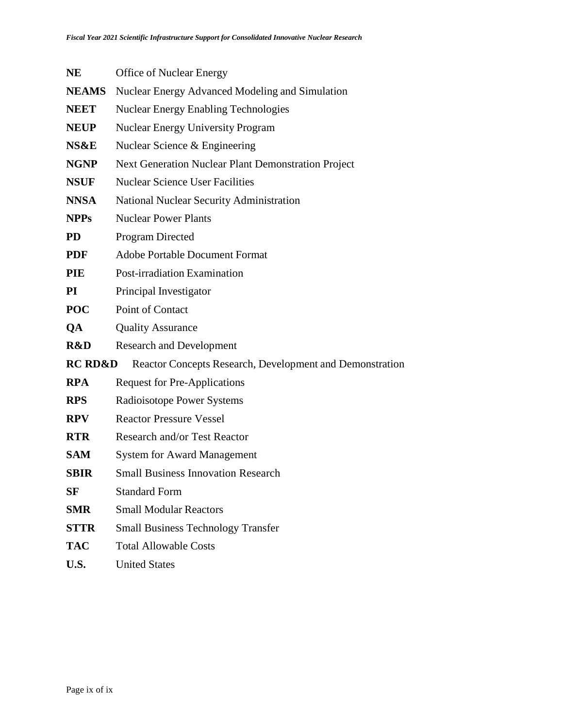| <b>NE</b>          | <b>Office of Nuclear Energy</b>                          |  |  |  |  |
|--------------------|----------------------------------------------------------|--|--|--|--|
| <b>NEAMS</b>       | Nuclear Energy Advanced Modeling and Simulation          |  |  |  |  |
| <b>NEET</b>        | <b>Nuclear Energy Enabling Technologies</b>              |  |  |  |  |
| <b>NEUP</b>        | <b>Nuclear Energy University Program</b>                 |  |  |  |  |
| NS&E               | Nuclear Science & Engineering                            |  |  |  |  |
| <b>NGNP</b>        | Next Generation Nuclear Plant Demonstration Project      |  |  |  |  |
| <b>NSUF</b>        | <b>Nuclear Science User Facilities</b>                   |  |  |  |  |
| <b>NNSA</b>        | <b>National Nuclear Security Administration</b>          |  |  |  |  |
| <b>NPPs</b>        | <b>Nuclear Power Plants</b>                              |  |  |  |  |
| <b>PD</b>          | <b>Program Directed</b>                                  |  |  |  |  |
| <b>PDF</b>         | <b>Adobe Portable Document Format</b>                    |  |  |  |  |
| <b>PIE</b>         | Post-irradiation Examination                             |  |  |  |  |
| <b>PI</b>          | Principal Investigator                                   |  |  |  |  |
| <b>POC</b>         | Point of Contact                                         |  |  |  |  |
| QA                 | <b>Quality Assurance</b>                                 |  |  |  |  |
| R&D                | <b>Research and Development</b>                          |  |  |  |  |
| <b>RC RD&amp;D</b> | Reactor Concepts Research, Development and Demonstration |  |  |  |  |
| <b>RPA</b>         | <b>Request for Pre-Applications</b>                      |  |  |  |  |
| <b>RPS</b>         | Radioisotope Power Systems                               |  |  |  |  |
| <b>RPV</b>         | <b>Reactor Pressure Vessel</b>                           |  |  |  |  |
| <b>RTR</b>         | <b>Research and/or Test Reactor</b>                      |  |  |  |  |
| <b>SAM</b>         | <b>System for Award Management</b>                       |  |  |  |  |
| <b>SBIR</b>        | <b>Small Business Innovation Research</b>                |  |  |  |  |
| SF                 | <b>Standard Form</b>                                     |  |  |  |  |
| <b>SMR</b>         | <b>Small Modular Reactors</b>                            |  |  |  |  |
| <b>STTR</b>        | <b>Small Business Technology Transfer</b>                |  |  |  |  |
| <b>TAC</b>         | <b>Total Allowable Costs</b>                             |  |  |  |  |
| U.S.               | <b>United States</b>                                     |  |  |  |  |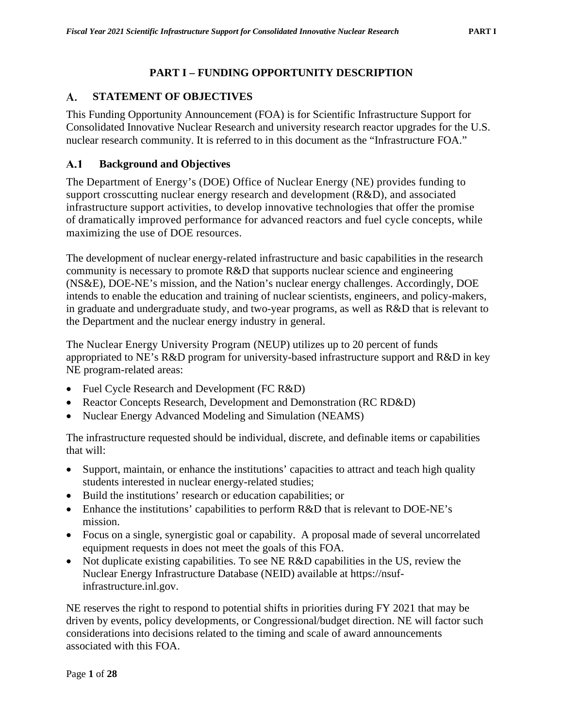# **PART I – FUNDING OPPORTUNITY DESCRIPTION**

### <span id="page-9-1"></span><span id="page-9-0"></span>**STATEMENT OF OBJECTIVES** A.

This Funding Opportunity Announcement (FOA) is for Scientific Infrastructure Support for Consolidated Innovative Nuclear Research and university research reactor upgrades for the U.S. nuclear research community. It is referred to in this document as the "Infrastructure FOA."

### <span id="page-9-2"></span> $A.1$ **Background and Objectives**

The Department of Energy's (DOE) Office of Nuclear Energy (NE) provides funding to support crosscutting nuclear energy research and development (R&D), and associated infrastructure support activities, to develop innovative technologies that offer the promise of dramatically improved performance for advanced reactors and fuel cycle concepts, while maximizing the use of DOE resources.

The development of nuclear energy-related infrastructure and basic capabilities in the research community is necessary to promote R&D that supports nuclear science and engineering (NS&E), DOE-NE's mission, and the Nation's nuclear energy challenges. Accordingly, DOE intends to enable the education and training of nuclear scientists, engineers, and policy-makers, in graduate and undergraduate study, and two-year programs, as well as R&D that is relevant to the Department and the nuclear energy industry in general.

The Nuclear Energy University Program (NEUP) utilizes up to 20 percent of funds appropriated to NE's R&D program for university-based infrastructure support and R&D in key NE program-related areas:

- Fuel Cycle Research and Development (FC R&D)
- Reactor Concepts Research, Development and Demonstration (RC RD&D)
- Nuclear Energy Advanced Modeling and Simulation (NEAMS)

The infrastructure requested should be individual, discrete, and definable items or capabilities that will:

- Support, maintain, or enhance the institutions' capacities to attract and teach high quality students interested in nuclear energy-related studies;
- Build the institutions' research or education capabilities; or
- Enhance the institutions' capabilities to perform R&D that is relevant to DOE-NE's mission.
- Focus on a single, synergistic goal or capability. A proposal made of several uncorrelated equipment requests in does not meet the goals of this FOA.
- Not duplicate existing capabilities. To see NE R&D capabilities in the US, review the Nuclear Energy Infrastructure Database (NEID) available at https://nsufinfrastructure.inl.gov.

NE reserves the right to respond to potential shifts in priorities during FY 2021 that may be driven by events, policy developments, or Congressional/budget direction. NE will factor such considerations into decisions related to the timing and scale of award announcements associated with this FOA.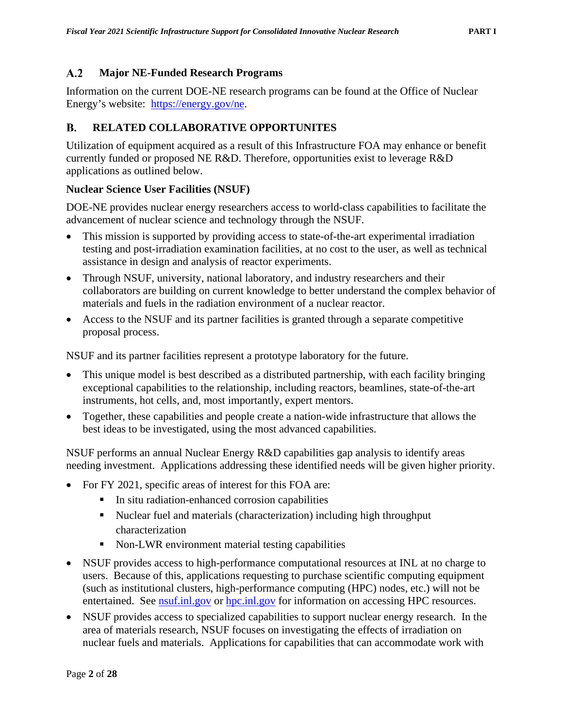#### <span id="page-10-0"></span> $A.2$ **Major NE-Funded Research Programs**

Information on the current DOE-NE research programs can be found at the Office of Nuclear Energy's website: [https://energy.gov/ne.](https://energy.gov/ne)

#### <span id="page-10-1"></span>B. **RELATED COLLABORATIVE OPPORTUNITES**

Utilization of equipment acquired as a result of this Infrastructure FOA may enhance or benefit currently funded or proposed NE R&D. Therefore, opportunities exist to leverage R&D applications as outlined below.

### <span id="page-10-2"></span>**Nuclear Science User Facilities (NSUF)**

DOE-NE provides nuclear energy researchers access to world-class capabilities to facilitate the advancement of nuclear science and technology through the NSUF.

- This mission is supported by providing access to state-of-the-art experimental irradiation testing and post-irradiation examination facilities, at no cost to the user, as well as technical assistance in design and analysis of reactor experiments.
- Through NSUF, university, national laboratory, and industry researchers and their collaborators are building on current knowledge to better understand the complex behavior of materials and fuels in the radiation environment of a nuclear reactor.
- Access to the NSUF and its partner facilities is granted through a separate competitive proposal process.

NSUF and its partner facilities represent a prototype laboratory for the future.

- This unique model is best described as a distributed partnership, with each facility bringing exceptional capabilities to the relationship, including reactors, beamlines, state-of-the-art instruments, hot cells, and, most importantly, expert mentors.
- Together, these capabilities and people create a nation-wide infrastructure that allows the best ideas to be investigated, using the most advanced capabilities.

NSUF performs an annual Nuclear Energy R&D capabilities gap analysis to identify areas needing investment. Applications addressing these identified needs will be given higher priority.

- For FY 2021, specific areas of interest for this FOA are:
	- **IF** In situ radiation-enhanced corrosion capabilities
	- Nuclear fuel and materials (characterization) including high throughput characterization
	- Non-LWR environment material testing capabilities
- NSUF provides access to high-performance computational resources at INL at no charge to users. Because of this, applications requesting to purchase scientific computing equipment (such as institutional clusters, high-performance computing (HPC) nodes, etc.) will not be entertained. See [nsuf.inl.gov](http://nsuf.inl.gov/) or [hpc.inl.gov](http://hpc.inl.gov/) for information on accessing HPC resources.
- NSUF provides access to specialized capabilities to support nuclear energy research. In the area of materials research, NSUF focuses on investigating the effects of irradiation on nuclear fuels and materials. Applications for capabilities that can accommodate work with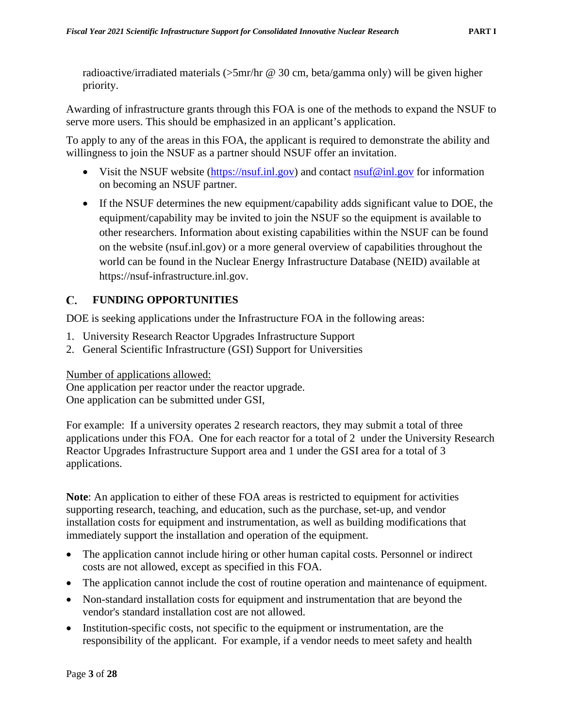radioactive/irradiated materials (>5mr/hr @ 30 cm, beta/gamma only) will be given higher priority.

Awarding of infrastructure grants through this FOA is one of the methods to expand the NSUF to serve more users. This should be emphasized in an applicant's application.

To apply to any of the areas in this FOA, the applicant is required to demonstrate the ability and willingness to join the NSUF as a partner should NSUF offer an invitation.

- Visit the NSUF website [\(https://nsuf.inl.gov\)](https://nsuf.inl.gov/) and contact  $nsuf@inl.gov$  for information on becoming an NSUF partner.
- If the NSUF determines the new equipment/capability adds significant value to DOE, the equipment/capability may be invited to join the NSUF so the equipment is available to other researchers. Information about existing capabilities within the NSUF can be found on the website (nsuf.inl.gov) or a more general overview of capabilities throughout the world can be found in the Nuclear Energy Infrastructure Database (NEID) available at https://nsuf-infrastructure.inl.gov.

### <span id="page-11-0"></span> $C_{\rm}$ **FUNDING OPPORTUNITIES**

DOE is seeking applications under the Infrastructure FOA in the following areas:

- 1. University Research Reactor Upgrades Infrastructure Support
- 2. General Scientific Infrastructure (GSI) Support for Universities

Number of applications allowed:

One application per reactor under the reactor upgrade. One application can be submitted under GSI,

For example: If a university operates 2 research reactors, they may submit a total of three applications under this FOA. One for each reactor for a total of 2 under the University Research Reactor Upgrades Infrastructure Support area and 1 under the GSI area for a total of 3 applications.

**Note**: An application to either of these FOA areas is restricted to equipment for activities supporting research, teaching, and education, such as the purchase, set-up, and vendor installation costs for equipment and instrumentation, as well as building modifications that immediately support the installation and operation of the equipment.

- The application cannot include hiring or other human capital costs. Personnel or indirect costs are not allowed, except as specified in this FOA.
- The application cannot include the cost of routine operation and maintenance of equipment.
- Non-standard installation costs for equipment and instrumentation that are beyond the vendor's standard installation cost are not allowed.
- Institution-specific costs, not specific to the equipment or instrumentation, are the responsibility of the applicant. For example, if a vendor needs to meet safety and health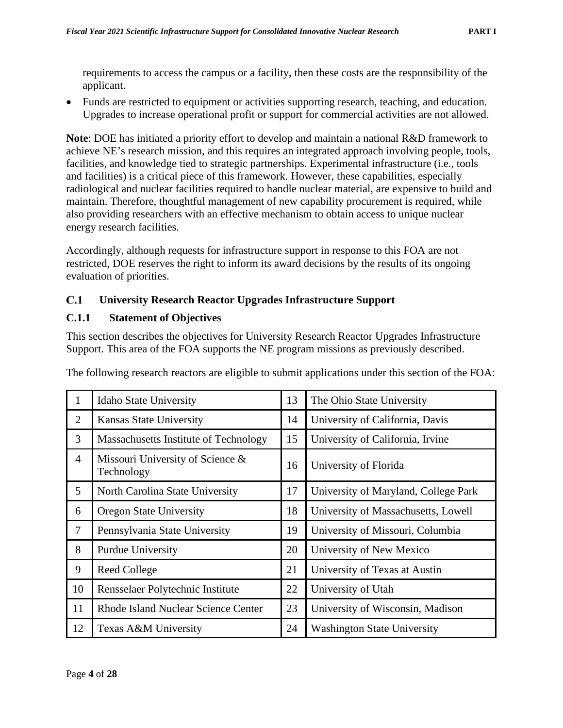requirements to access the campus or a facility, then these costs are the responsibility of the applicant.

• Funds are restricted to equipment or activities supporting research, teaching, and education. Upgrades to increase operational profit or support for commercial activities are not allowed.

**Note**: DOE has initiated a priority effort to develop and maintain a national R&D framework to achieve NE's research mission, and this requires an integrated approach involving people, tools, facilities, and knowledge tied to strategic partnerships. Experimental infrastructure (i.e., tools and facilities) is a critical piece of this framework. However, these capabilities, especially radiological and nuclear facilities required to handle nuclear material, are expensive to build and maintain. Therefore, thoughtful management of new capability procurement is required, while also providing researchers with an effective mechanism to obtain access to unique nuclear energy research facilities.

Accordingly, although requests for infrastructure support in response to this FOA are not restricted, DOE reserves the right to inform its award decisions by the results of its ongoing evaluation of priorities.

#### <span id="page-12-0"></span> $C.1$ **University Research Reactor Upgrades Infrastructure Support**

### <span id="page-12-1"></span>**C.1.1 Statement of Objectives**

This section describes the objectives for University Research Reactor Upgrades Infrastructure Support. This area of the FOA supports the NE program missions as previously described.

| 1              | <b>Idaho State University</b>                  |    | The Ohio State University            |
|----------------|------------------------------------------------|----|--------------------------------------|
| 2              | <b>Kansas State University</b>                 | 14 | University of California, Davis      |
| 3              | Massachusetts Institute of Technology          | 15 | University of California, Irvine     |
| $\overline{4}$ | Missouri University of Science &<br>Technology | 16 | University of Florida                |
| 5              | North Carolina State University                | 17 | University of Maryland, College Park |
| 6              | <b>Oregon State University</b>                 | 18 | University of Massachusetts, Lowell  |
| $\overline{7}$ | Pennsylvania State University                  | 19 | University of Missouri, Columbia     |
| 8              | <b>Purdue University</b>                       | 20 | University of New Mexico             |
| 9              | <b>Reed College</b>                            | 21 | University of Texas at Austin        |
| 10             | Rensselaer Polytechnic Institute               | 22 | University of Utah                   |
| 11             | <b>Rhode Island Nuclear Science Center</b>     | 23 | University of Wisconsin, Madison     |
| 12             | Texas A&M University                           | 24 | <b>Washington State University</b>   |

The following research reactors are eligible to submit applications under this section of the FOA: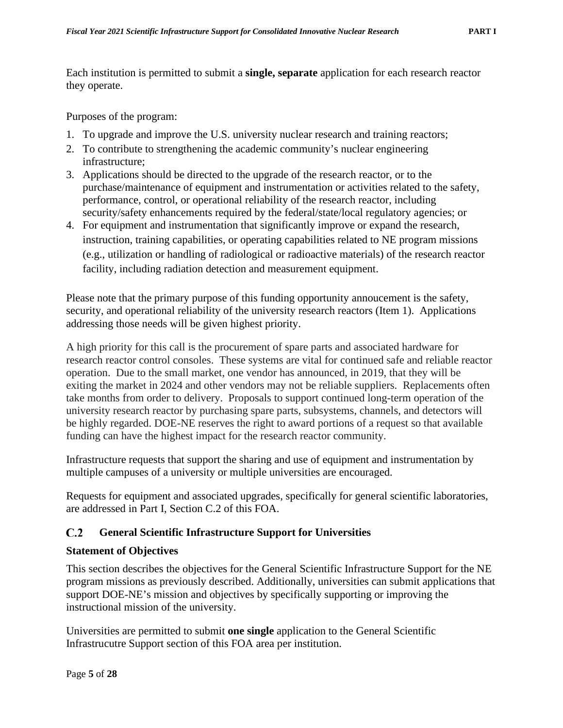Each institution is permitted to submit a **single, separate** application for each research reactor they operate.

Purposes of the program:

- 1. To upgrade and improve the U.S. university nuclear research and training reactors;
- 2. To contribute to strengthening the academic community's nuclear engineering infrastructure;
- 3. Applications should be directed to the upgrade of the research reactor, or to the purchase/maintenance of equipment and instrumentation or activities related to the safety, performance, control, or operational reliability of the research reactor, including security/safety enhancements required by the federal/state/local regulatory agencies; or
- 4. For equipment and instrumentation that significantly improve or expand the research, instruction, training capabilities, or operating capabilities related to NE program missions (e.g., utilization or handling of radiological or radioactive materials) of the research reactor facility, including radiation detection and measurement equipment.

Please note that the primary purpose of this funding opportunity annoucement is the safety, security, and operational reliability of the university research reactors (Item 1). Applications addressing those needs will be given highest priority.

A high priority for this call is the procurement of spare parts and associated hardware for research reactor control consoles. These systems are vital for continued safe and reliable reactor operation. Due to the small market, one vendor has announced, in 2019, that they will be exiting the market in 2024 and other vendors may not be reliable suppliers. Replacements often take months from order to delivery. Proposals to support continued long-term operation of the university research reactor by purchasing spare parts, subsystems, channels, and detectors will be highly regarded. DOE-NE reserves the right to award portions of a request so that available funding can have the highest impact for the research reactor community.

Infrastructure requests that support the sharing and use of equipment and instrumentation by multiple campuses of a university or multiple universities are encouraged.

Requests for equipment and associated upgrades, specifically for general scientific laboratories, are addressed in Part I, Section C.2 of this FOA.

### <span id="page-13-0"></span> $C.2$ **General Scientific Infrastructure Support for Universities**

### <span id="page-13-1"></span>**Statement of Objectives**

This section describes the objectives for the General Scientific Infrastructure Support for the NE program missions as previously described. Additionally, universities can submit applications that support DOE-NE's mission and objectives by specifically supporting or improving the instructional mission of the university.

Universities are permitted to submit **one single** application to the General Scientific Infrastrucutre Support section of this FOA area per institution.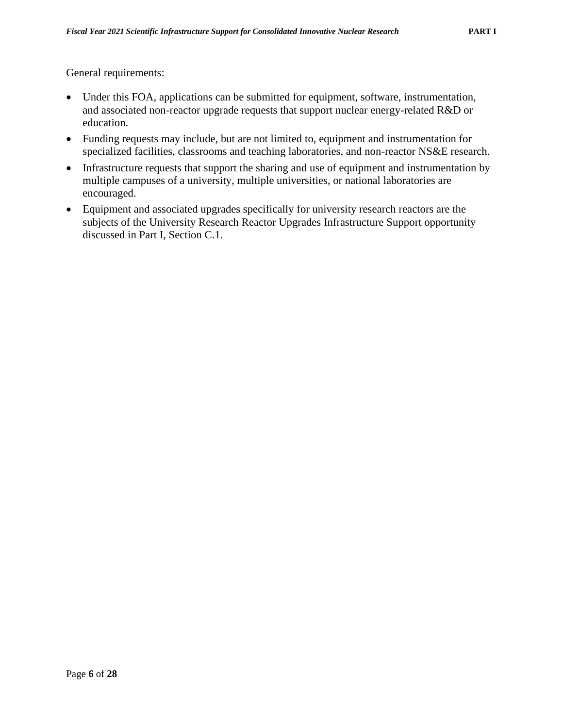General requirements:

- Under this FOA, applications can be submitted for equipment, software, instrumentation, and associated non-reactor upgrade requests that support nuclear energy-related R&D or education.
- Funding requests may include, but are not limited to, equipment and instrumentation for specialized facilities, classrooms and teaching laboratories, and non-reactor NS&E research.
- Infrastructure requests that support the sharing and use of equipment and instrumentation by multiple campuses of a university, multiple universities, or national laboratories are encouraged.
- Equipment and associated upgrades specifically for university research reactors are the subjects of the University Research Reactor Upgrades Infrastructure Support opportunity discussed in Part I, Section C.1.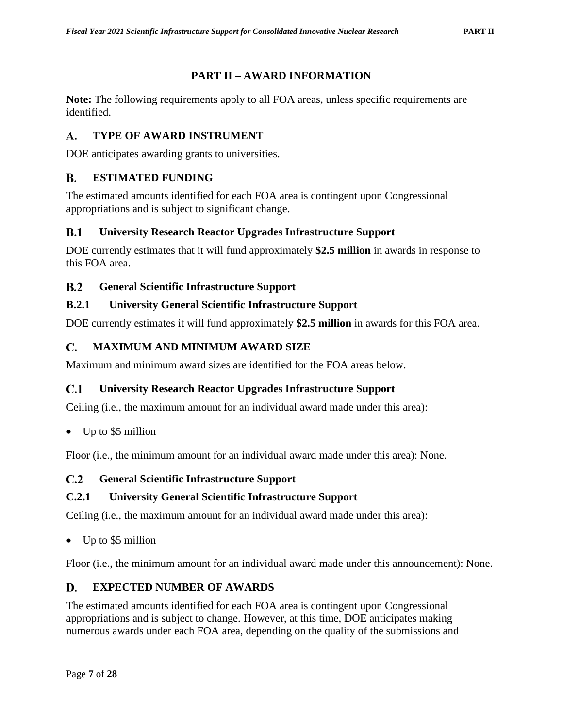# **PART II – AWARD INFORMATION**

<span id="page-15-0"></span>**Note:** The following requirements apply to all FOA areas, unless specific requirements are identified.

### <span id="page-15-1"></span> $\mathbf{A}$ . **TYPE OF AWARD INSTRUMENT**

DOE anticipates awarding grants to universities.

### <span id="page-15-2"></span>B. **ESTIMATED FUNDING**

The estimated amounts identified for each FOA area is contingent upon Congressional appropriations and is subject to significant change.

### <span id="page-15-3"></span> $B.1$ **University Research Reactor Upgrades Infrastructure Support**

DOE currently estimates that it will fund approximately **\$2.5 million** in awards in response to this FOA area.

### <span id="page-15-4"></span> $\mathbf{R} \cdot \mathbf{2}$ **General Scientific Infrastructure Support**

# <span id="page-15-5"></span>**B.2.1 University General Scientific Infrastructure Support**

DOE currently estimates it will fund approximately **\$2.5 million** in awards for this FOA area.

### <span id="page-15-6"></span>**MAXIMUM AND MINIMUM AWARD SIZE** C.

Maximum and minimum award sizes are identified for the FOA areas below.

### <span id="page-15-7"></span> $C.1$ **University Research Reactor Upgrades Infrastructure Support**

Ceiling (i.e., the maximum amount for an individual award made under this area):

• Up to \$5 million

Floor (i.e., the minimum amount for an individual award made under this area): None.

### <span id="page-15-8"></span> $C.2$ **General Scientific Infrastructure Support**

### <span id="page-15-9"></span>**C.2.1 University General Scientific Infrastructure Support**

Ceiling (i.e., the maximum amount for an individual award made under this area):

• Up to \$5 million

Floor (i.e., the minimum amount for an individual award made under this announcement): None.

### <span id="page-15-10"></span>D. **EXPECTED NUMBER OF AWARDS**

The estimated amounts identified for each FOA area is contingent upon Congressional appropriations and is subject to change. However, at this time, DOE anticipates making numerous awards under each FOA area, depending on the quality of the submissions and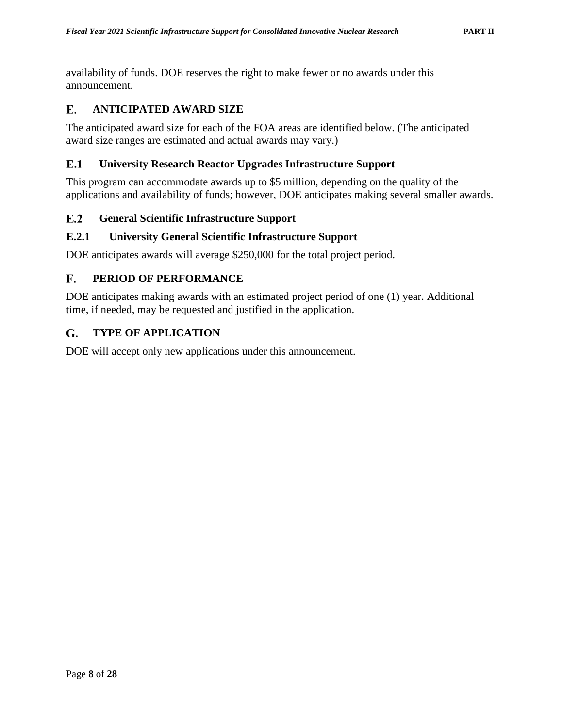availability of funds. DOE reserves the right to make fewer or no awards under this announcement.

### <span id="page-16-0"></span>Е. **ANTICIPATED AWARD SIZE**

The anticipated award size for each of the FOA areas are identified below. (The anticipated award size ranges are estimated and actual awards may vary.)

#### <span id="page-16-1"></span> $E.1$ **University Research Reactor Upgrades Infrastructure Support**

This program can accommodate awards up to \$5 million, depending on the quality of the applications and availability of funds; however, DOE anticipates making several smaller awards.

#### <span id="page-16-2"></span> $E.2$ **General Scientific Infrastructure Support**

### <span id="page-16-3"></span>**E.2.1 University General Scientific Infrastructure Support**

DOE anticipates awards will average \$250,000 for the total project period.

#### <span id="page-16-4"></span>F. **PERIOD OF PERFORMANCE**

DOE anticipates making awards with an estimated project period of one (1) year. Additional time, if needed, may be requested and justified in the application.

#### <span id="page-16-5"></span>G. **TYPE OF APPLICATION**

DOE will accept only new applications under this announcement.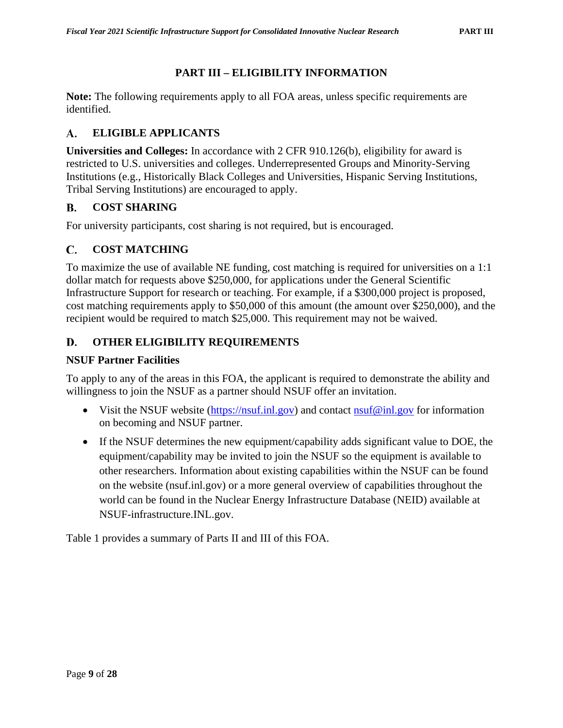### **PART III – ELIGIBILITY INFORMATION**

<span id="page-17-0"></span>**Note:** The following requirements apply to all FOA areas, unless specific requirements are identified.

### <span id="page-17-1"></span>**ELIGIBLE APPLICANTS** A.

**Universities and Colleges:** In accordance with 2 CFR 910.126(b), eligibility for award is restricted to U.S. universities and colleges. Underrepresented Groups and Minority-Serving Institutions (e.g., Historically Black Colleges and Universities, Hispanic Serving Institutions, Tribal Serving Institutions) are encouraged to apply.

### <span id="page-17-2"></span>**COST SHARING**  $\mathbf{B}$ .

For university participants, cost sharing is not required, but is encouraged.

### <span id="page-17-3"></span>C. **COST MATCHING**

To maximize the use of available NE funding, cost matching is required for universities on a 1:1 dollar match for requests above \$250,000, for applications under the General Scientific Infrastructure Support for research or teaching. For example, if a \$300,000 project is proposed, cost matching requirements apply to \$50,000 of this amount (the amount over \$250,000), and the recipient would be required to match \$25,000. This requirement may not be waived.

### <span id="page-17-4"></span>D. **OTHER ELIGIBILITY REQUIREMENTS**

### <span id="page-17-5"></span>**NSUF Partner Facilities**

To apply to any of the areas in this FOA, the applicant is required to demonstrate the ability and willingness to join the NSUF as a partner should NSUF offer an invitation.

- Visit the NSUF website [\(https://nsuf.inl.gov\)](https://nsuf.inl.gov/) and contact [nsuf@inl.gov](mailto:nsuf@inl.gov) for information on becoming and NSUF partner.
- If the NSUF determines the new equipment/capability adds significant value to DOE, the equipment/capability may be invited to join the NSUF so the equipment is available to other researchers. Information about existing capabilities within the NSUF can be found on the website (nsuf.inl.gov) or a more general overview of capabilities throughout the world can be found in the Nuclear Energy Infrastructure Database (NEID) available at NSUF-infrastructure.INL.gov.

Table 1 provides a summary of Parts II and III of this FOA.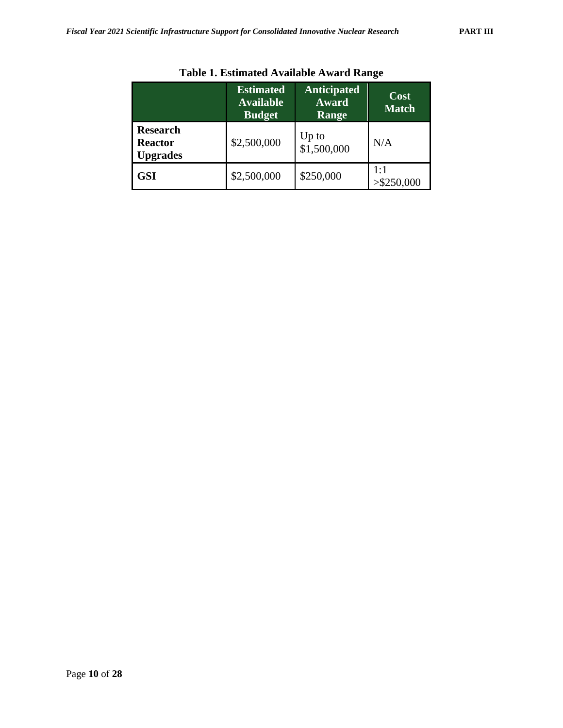|                                                      | <b>Estimated</b><br><b>Available</b><br><b>Budget</b> | <b>Anticipated</b><br>Award<br>Range | Cost<br><b>Match</b> |
|------------------------------------------------------|-------------------------------------------------------|--------------------------------------|----------------------|
| <b>Research</b><br><b>Reactor</b><br><b>Upgrades</b> | \$2,500,000                                           | Up to<br>\$1,500,000                 | N/A                  |
| <b>GSI</b>                                           | \$2,500,000                                           | \$250,000                            | 1:1<br>$>$ \$250,000 |

# **Table 1. Estimated Available Award Range**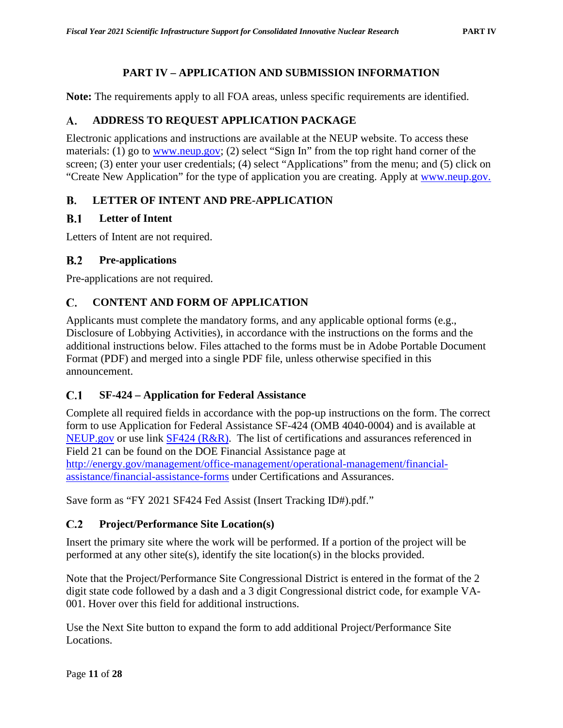# **PART IV – APPLICATION AND SUBMISSION INFORMATION**

<span id="page-19-0"></span>**Note:** The requirements apply to all FOA areas, unless specific requirements are identified.

### <span id="page-19-1"></span>A. **ADDRESS TO REQUEST APPLICATION PACKAGE**

Electronic applications and instructions are available at the NEUP website. To access these materials: (1) go to [www.neup.gov;](http://www.neup.gov/) (2) select "Sign In" from the top right hand corner of the screen; (3) enter your user credentials; (4) select "Applications" from the menu; and (5) click on "Create New Application" for the type of application you are creating. Apply at [www.neup.gov.](http://www.neup.gov/)

### <span id="page-19-2"></span>**B. LETTER OF INTENT AND PRE-APPLICATION**

#### <span id="page-19-3"></span> $B.1$ **Letter of Intent**

Letters of Intent are not required.

### <span id="page-19-4"></span> $B.2$ **Pre-applications**

Pre-applications are not required.

### <span id="page-19-5"></span>C. **CONTENT AND FORM OF APPLICATION**

Applicants must complete the mandatory forms, and any applicable optional forms (e.g., Disclosure of Lobbying Activities), in accordance with the instructions on the forms and the additional instructions below. Files attached to the forms must be in Adobe Portable Document Format (PDF) and merged into a single PDF file, unless otherwise specified in this announcement.

### <span id="page-19-6"></span> $C.1$ **SF-424 – Application for Federal Assistance**

Complete all required fields in accordance with the pop-up instructions on the form. The correct form to use Application for Federal Assistance SF-424 (OMB 4040-0004) and is available at [NEUP.gov](https://neup.inl.gov/SitePages/Related_Documents.aspx) or use link [SF424 \(R&R\).](https://neup.inl.gov/SiteAssets/AboutUs/RandDFullAppDocs/SF424_2_1-V2.1.pdf) The list of certifications and assurances referenced in Field 21 can be found on the DOE Financial Assistance page at [http://energy.gov/management/office-management/operational-management/financial](http://energy.gov/management/office-management/operational-management/financial-assistance/financial-assistance-forms)[assistance/financial-assistance-forms](http://energy.gov/management/office-management/operational-management/financial-assistance/financial-assistance-forms) under Certifications and Assurances.

Save form as "FY 2021 SF424 Fed Assist (Insert Tracking ID#).pdf."

### <span id="page-19-7"></span> $C.2$ **Project/Performance Site Location(s)**

Insert the primary site where the work will be performed. If a portion of the project will be performed at any other site(s), identify the site location(s) in the blocks provided.

Note that the Project/Performance Site Congressional District is entered in the format of the 2 digit state code followed by a dash and a 3 digit Congressional district code, for example VA-001. Hover over this field for additional instructions.

Use the Next Site button to expand the form to add additional Project/Performance Site Locations.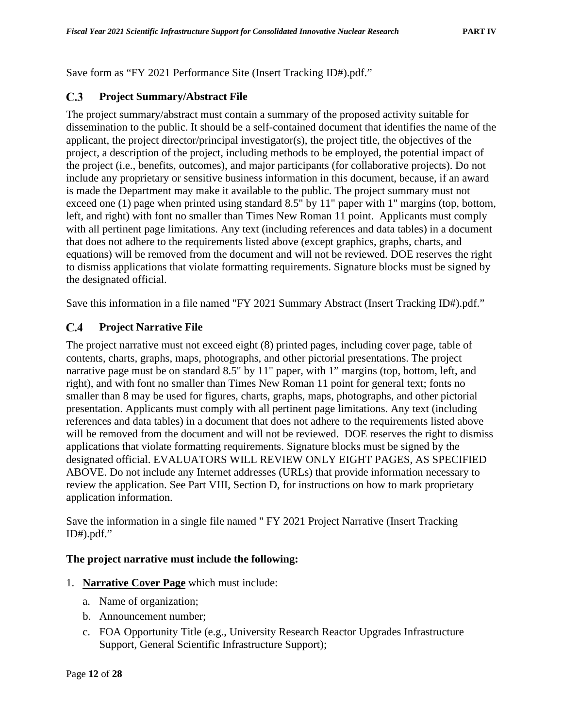Save form as "FY 2021 Performance Site (Insert Tracking ID#).pdf."

#### <span id="page-20-0"></span> $C.3$ **Project Summary/Abstract File**

The project summary/abstract must contain a summary of the proposed activity suitable for dissemination to the public. It should be a self-contained document that identifies the name of the applicant, the project director/principal investigator(s), the project title, the objectives of the project, a description of the project, including methods to be employed, the potential impact of the project (i.e., benefits, outcomes), and major participants (for collaborative projects). Do not include any proprietary or sensitive business information in this document, because, if an award is made the Department may make it available to the public. The project summary must not exceed one (1) page when printed using standard 8.5" by 11" paper with 1" margins (top, bottom, left, and right) with font no smaller than Times New Roman 11 point. Applicants must comply with all pertinent page limitations. Any text (including references and data tables) in a document that does not adhere to the requirements listed above (except graphics, graphs, charts, and equations) will be removed from the document and will not be reviewed. DOE reserves the right to dismiss applications that violate formatting requirements. Signature blocks must be signed by the designated official.

Save this information in a file named "FY 2021 Summary Abstract (Insert Tracking ID#).pdf."

### <span id="page-20-1"></span> $C.4$ **Project Narrative File**

The project narrative must not exceed eight (8) printed pages, including cover page, table of contents, charts, graphs, maps, photographs, and other pictorial presentations. The project narrative page must be on standard 8.5" by 11" paper, with 1" margins (top, bottom, left, and right), and with font no smaller than Times New Roman 11 point for general text; fonts no smaller than 8 may be used for figures, charts, graphs, maps, photographs, and other pictorial presentation. Applicants must comply with all pertinent page limitations. Any text (including references and data tables) in a document that does not adhere to the requirements listed above will be removed from the document and will not be reviewed. DOE reserves the right to dismiss applications that violate formatting requirements. Signature blocks must be signed by the designated official. EVALUATORS WILL REVIEW ONLY EIGHT PAGES, AS SPECIFIED ABOVE. Do not include any Internet addresses (URLs) that provide information necessary to review the application. See Part VIII, Section D, for instructions on how to mark proprietary application information.

Save the information in a single file named " FY 2021 Project Narrative (Insert Tracking ID#).pdf."

### **The project narrative must include the following:**

- 1. **Narrative Cover Page** which must include:
	- a. Name of organization;
	- b. Announcement number;
	- c. FOA Opportunity Title (e.g., University Research Reactor Upgrades Infrastructure Support, General Scientific Infrastructure Support);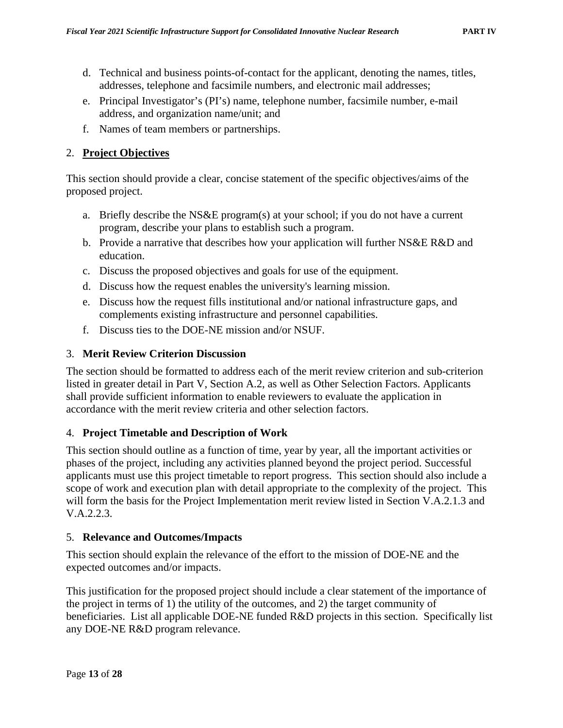- d. Technical and business points-of-contact for the applicant, denoting the names, titles, addresses, telephone and facsimile numbers, and electronic mail addresses;
- e. Principal Investigator's (PI's) name, telephone number, facsimile number, e-mail address, and organization name/unit; and
- f. Names of team members or partnerships.

### 2. **Project Objectives**

This section should provide a clear, concise statement of the specific objectives/aims of the proposed project.

- a. Briefly describe the NS&E program(s) at your school; if you do not have a current program, describe your plans to establish such a program.
- b. Provide a narrative that describes how your application will further NS&E R&D and education.
- c. Discuss the proposed objectives and goals for use of the equipment.
- d. Discuss how the request enables the university's learning mission.
- e. Discuss how the request fills institutional and/or national infrastructure gaps, and complements existing infrastructure and personnel capabilities.
- f. Discuss ties to the DOE-NE mission and/or NSUF.

### 3. **Merit Review Criterion Discussion**

The section should be formatted to address each of the merit review criterion and sub-criterion listed in greater detail in Part V, Section A.2, as well as Other Selection Factors. Applicants shall provide sufficient information to enable reviewers to evaluate the application in accordance with the merit review criteria and other selection factors.

### 4. **Project Timetable and Description of Work**

This section should outline as a function of time, year by year, all the important activities or phases of the project, including any activities planned beyond the project period. Successful applicants must use this project timetable to report progress. This section should also include a scope of work and execution plan with detail appropriate to the complexity of the project. This will form the basis for the Project Implementation merit review listed in Section V.A.2.1.3 and V.A.2.2.3.

### 5. **Relevance and Outcomes/Impacts**

This section should explain the relevance of the effort to the mission of DOE-NE and the expected outcomes and/or impacts.

This justification for the proposed project should include a clear statement of the importance of the project in terms of 1) the utility of the outcomes, and 2) the target community of beneficiaries. List all applicable DOE-NE funded R&D projects in this section. Specifically list any DOE-NE R&D program relevance.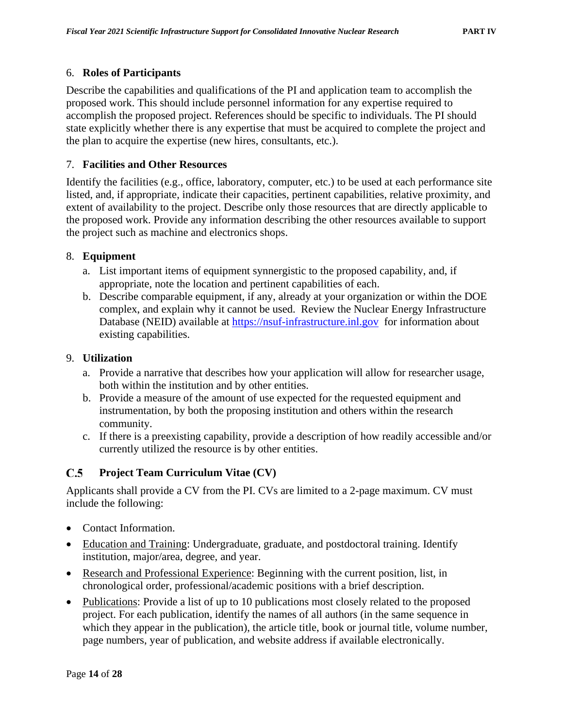### 6. **Roles of Participants**

Describe the capabilities and qualifications of the PI and application team to accomplish the proposed work. This should include personnel information for any expertise required to accomplish the proposed project. References should be specific to individuals. The PI should state explicitly whether there is any expertise that must be acquired to complete the project and the plan to acquire the expertise (new hires, consultants, etc.).

### 7. **Facilities and Other Resources**

Identify the facilities (e.g., office, laboratory, computer, etc.) to be used at each performance site listed, and, if appropriate, indicate their capacities, pertinent capabilities, relative proximity, and extent of availability to the project. Describe only those resources that are directly applicable to the proposed work. Provide any information describing the other resources available to support the project such as machine and electronics shops.

### 8. **Equipment**

- a. List important items of equipment synnergistic to the proposed capability, and, if appropriate, note the location and pertinent capabilities of each.
- b. Describe comparable equipment, if any, already at your organization or within the DOE complex, and explain why it cannot be used. Review the Nuclear Energy Infrastructure Database (NEID) available at [https://nsuf-infrastructure.inl.gov](https://nsuf-infrastructure.inl.gov/) for information about existing capabilities.

### 9. **Utilization**

- a. Provide a narrative that describes how your application will allow for researcher usage, both within the institution and by other entities.
- b. Provide a measure of the amount of use expected for the requested equipment and instrumentation, by both the proposing institution and others within the research community.
- c. If there is a preexisting capability, provide a description of how readily accessible and/or currently utilized the resource is by other entities.

### <span id="page-22-0"></span> $C.5$ **Project Team Curriculum Vitae (CV)**

Applicants shall provide a CV from the PI. CVs are limited to a 2-page maximum. CV must include the following:

- Contact Information.
- Education and Training: Undergraduate, graduate, and postdoctoral training. Identify institution, major/area, degree, and year.
- Research and Professional Experience: Beginning with the current position, list, in chronological order, professional/academic positions with a brief description.
- Publications: Provide a list of up to 10 publications most closely related to the proposed project. For each publication, identify the names of all authors (in the same sequence in which they appear in the publication), the article title, book or journal title, volume number, page numbers, year of publication, and website address if available electronically.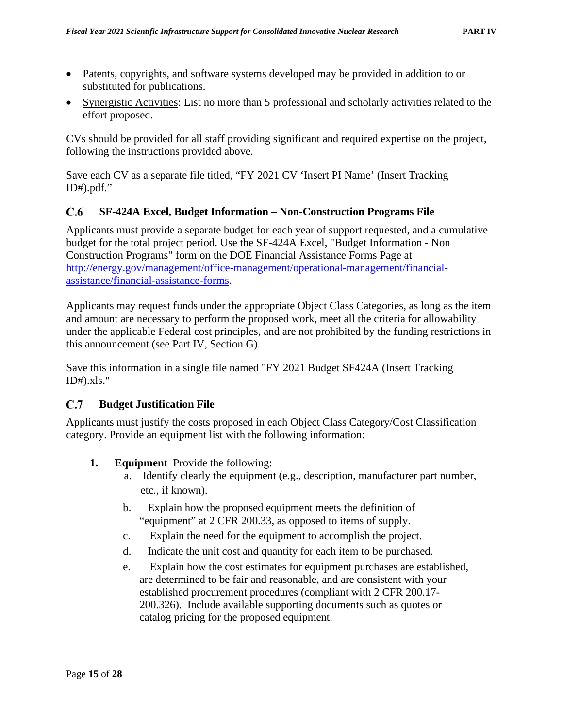- Patents, copyrights, and software systems developed may be provided in addition to or substituted for publications.
- Synergistic Activities: List no more than 5 professional and scholarly activities related to the effort proposed.

CVs should be provided for all staff providing significant and required expertise on the project, following the instructions provided above.

Save each CV as a separate file titled, "FY 2021 CV 'Insert PI Name' (Insert Tracking  $ID#$ ).pdf."

#### <span id="page-23-0"></span> $C.6$ **SF-424A Excel, Budget Information – Non-Construction Programs File**

Applicants must provide a separate budget for each year of support requested, and a cumulative budget for the total project period. Use the SF-424A Excel, "Budget Information - Non Construction Programs" form on the DOE Financial Assistance Forms Page at [http://energy.gov/management/office-management/operational-management/financial](http://energy.gov/management/office-management/operational-management/financial-assistance/financial-assistance-forms)[assistance/financial-assistance-forms.](http://energy.gov/management/office-management/operational-management/financial-assistance/financial-assistance-forms)

Applicants may request funds under the appropriate Object Class Categories, as long as the item and amount are necessary to perform the proposed work, meet all the criteria for allowability under the applicable Federal cost principles, and are not prohibited by the funding restrictions in this announcement (see Part IV, Section G).

Save this information in a single file named "FY 2021 Budget SF424A (Insert Tracking  $ID#$ ).xls."

### <span id="page-23-1"></span> $C.7$ **Budget Justification File**

Applicants must justify the costs proposed in each Object Class Category/Cost Classification category. Provide an equipment list with the following information:

- **1. Equipment** Provide the following:
	- a. Identify clearly the equipment (e.g., description, manufacturer part number, etc., if known).
	- b. Explain how the proposed equipment meets the definition of "equipment" at 2 CFR 200.33, as opposed to items of supply.
	- c. Explain the need for the equipment to accomplish the project.
	- d. Indicate the unit cost and quantity for each item to be purchased.
	- e. Explain how the cost estimates for equipment purchases are established, are determined to be fair and reasonable, and are consistent with your established procurement procedures (compliant with 2 CFR 200.17- 200.326). Include available supporting documents such as quotes or catalog pricing for the proposed equipment.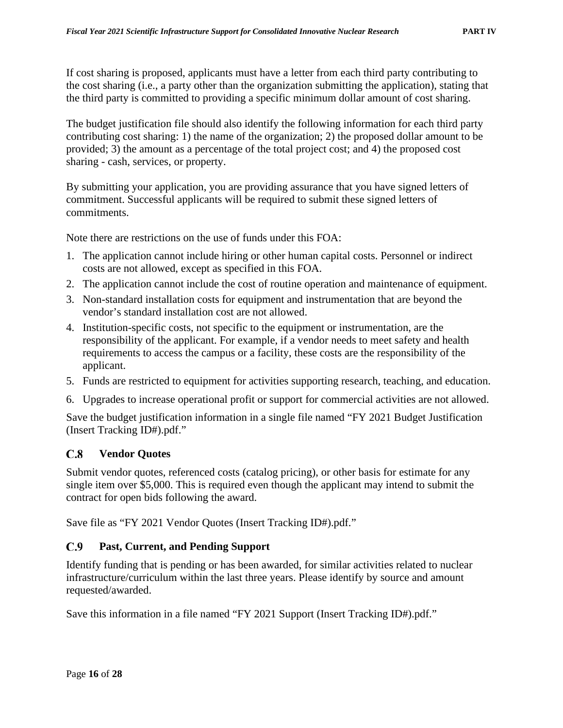If cost sharing is proposed, applicants must have a letter from each third party contributing to the cost sharing (i.e., a party other than the organization submitting the application), stating that the third party is committed to providing a specific minimum dollar amount of cost sharing.

The budget justification file should also identify the following information for each third party contributing cost sharing: 1) the name of the organization; 2) the proposed dollar amount to be provided; 3) the amount as a percentage of the total project cost; and 4) the proposed cost sharing - cash, services, or property.

By submitting your application, you are providing assurance that you have signed letters of commitment. Successful applicants will be required to submit these signed letters of commitments.

Note there are restrictions on the use of funds under this FOA:

- 1. The application cannot include hiring or other human capital costs. Personnel or indirect costs are not allowed, except as specified in this FOA.
- 2. The application cannot include the cost of routine operation and maintenance of equipment.
- 3. Non-standard installation costs for equipment and instrumentation that are beyond the vendor's standard installation cost are not allowed.
- 4. Institution-specific costs, not specific to the equipment or instrumentation, are the responsibility of the applicant. For example, if a vendor needs to meet safety and health requirements to access the campus or a facility, these costs are the responsibility of the applicant.
- 5. Funds are restricted to equipment for activities supporting research, teaching, and education.
- 6. Upgrades to increase operational profit or support for commercial activities are not allowed.

Save the budget justification information in a single file named "FY 2021 Budget Justification (Insert Tracking ID#).pdf."

#### <span id="page-24-0"></span> $C.8$ **Vendor Quotes**

Submit vendor quotes, referenced costs (catalog pricing), or other basis for estimate for any single item over \$5,000. This is required even though the applicant may intend to submit the contract for open bids following the award.

Save file as "FY 2021 Vendor Quotes (Insert Tracking ID#).pdf."

#### <span id="page-24-1"></span> $C.9$ **Past, Current, and Pending Support**

Identify funding that is pending or has been awarded, for similar activities related to nuclear infrastructure/curriculum within the last three years. Please identify by source and amount requested/awarded.

Save this information in a file named "FY 2021 Support (Insert Tracking ID#).pdf."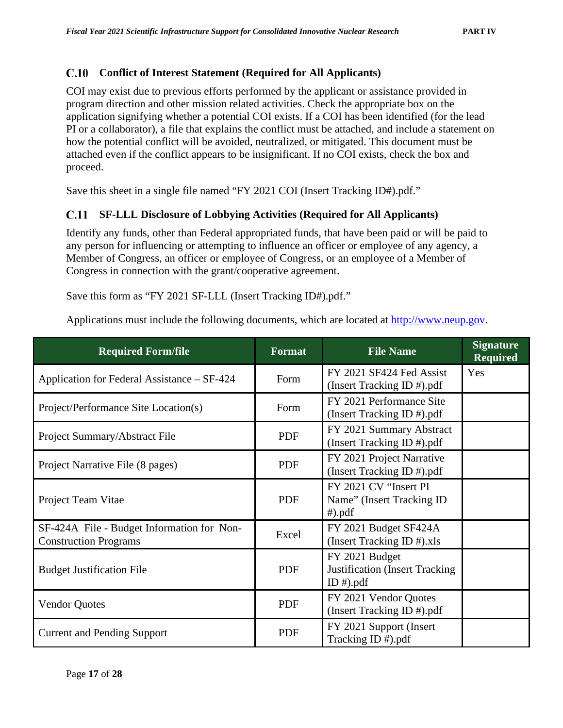### <span id="page-25-0"></span>**C.10 Conflict of Interest Statement (Required for All Applicants)**

COI may exist due to previous efforts performed by the applicant or assistance provided in program direction and other mission related activities. Check the appropriate box on the application signifying whether a potential COI exists. If a COI has been identified (for the lead PI or a collaborator), a file that explains the conflict must be attached, and include a statement on how the potential conflict will be avoided, neutralized, or mitigated. This document must be attached even if the conflict appears to be insignificant. If no COI exists, check the box and proceed.

Save this sheet in a single file named "FY 2021 COI (Insert Tracking ID#).pdf."

### <span id="page-25-1"></span>C.11 **SF-LLL Disclosure of Lobbying Activities (Required for All Applicants)**

Identify any funds, other than Federal appropriated funds, that have been paid or will be paid to any person for influencing or attempting to influence an officer or employee of any agency, a Member of Congress, an officer or employee of Congress, or an employee of a Member of Congress in connection with the grant/cooperative agreement.

Save this form as "FY 2021 SF-LLL (Insert Tracking ID#).pdf."

Applications must include the following documents, which are located at [http://www.neup.gov.](http://www.neup.gov/)

| <b>Required Form/file</b>                                                  | <b>Format</b> | <b>File Name</b>                                                        | <b>Signature</b><br><b>Required</b> |
|----------------------------------------------------------------------------|---------------|-------------------------------------------------------------------------|-------------------------------------|
| Application for Federal Assistance – SF-424                                | Form          | FY 2021 SF424 Fed Assist<br>(Insert Tracking ID #).pdf                  | Yes                                 |
| Project/Performance Site Location(s)                                       | Form          | FY 2021 Performance Site<br>(Insert Tracking ID #).pdf                  |                                     |
| Project Summary/Abstract File                                              | PDF           | FY 2021 Summary Abstract<br>(Insert Tracking ID #).pdf                  |                                     |
| Project Narrative File (8 pages)                                           | <b>PDF</b>    | FY 2021 Project Narrative<br>(Insert Tracking ID #).pdf                 |                                     |
| Project Team Vitae                                                         | <b>PDF</b>    | FY 2021 CV "Insert PI<br>Name" (Insert Tracking ID)<br>$#$ ).pdf        |                                     |
| SF-424A File - Budget Information for Non-<br><b>Construction Programs</b> | Excel         | FY 2021 Budget SF424A<br>(Insert Tracking ID $#$ ).xls                  |                                     |
| <b>Budget Justification File</b>                                           | <b>PDF</b>    | FY 2021 Budget<br><b>Justification</b> (Insert Tracking<br>ID $#$ ).pdf |                                     |
| <b>Vendor Quotes</b>                                                       | <b>PDF</b>    | FY 2021 Vendor Quotes<br>(Insert Tracking ID #).pdf                     |                                     |
| <b>Current and Pending Support</b>                                         | <b>PDF</b>    | FY 2021 Support (Insert)<br>Tracking ID #).pdf                          |                                     |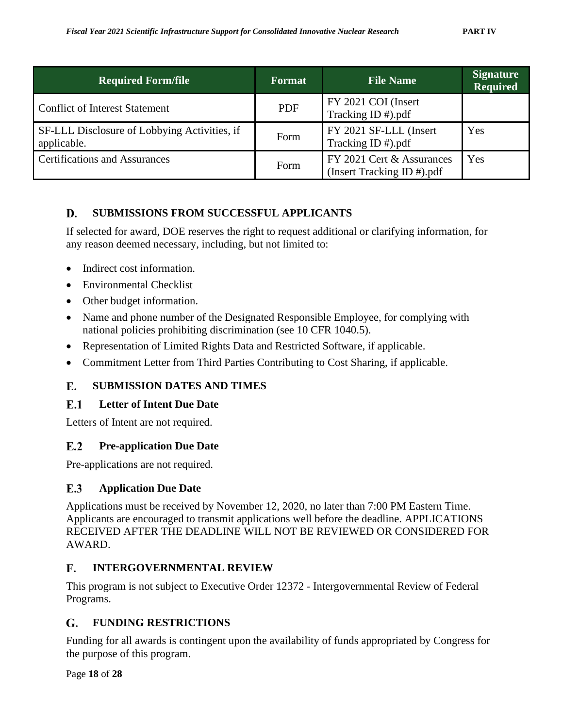| <b>Required Form/file</b>                                   | <b>Format</b> | <b>File Name</b>                                        | <b>Signature</b><br><b>Required</b> |
|-------------------------------------------------------------|---------------|---------------------------------------------------------|-------------------------------------|
| <b>Conflict of Interest Statement</b>                       | <b>PDF</b>    | FY 2021 COI (Insert<br>Tracking ID #).pdf               |                                     |
| SF-LLL Disclosure of Lobbying Activities, if<br>applicable. | Form          | FY 2021 SF-LLL (Insert<br>Tracking ID #).pdf            | Yes                                 |
| <b>Certifications and Assurances</b>                        | Form          | FY 2021 Cert & Assurances<br>(Insert Tracking ID #).pdf | Yes                                 |

### <span id="page-26-0"></span>**SUBMISSIONS FROM SUCCESSFUL APPLICANTS** D.

If selected for award, DOE reserves the right to request additional or clarifying information, for any reason deemed necessary, including, but not limited to:

- Indirect cost information.
- Environmental Checklist
- Other budget information.
- Name and phone number of the Designated Responsible Employee, for complying with national policies prohibiting discrimination (see 10 CFR 1040.5).
- Representation of Limited Rights Data and Restricted Software, if applicable.
- Commitment Letter from Third Parties Contributing to Cost Sharing, if applicable.

### <span id="page-26-1"></span>**SUBMISSION DATES AND TIMES** Е.

### <span id="page-26-2"></span> $E.1$ **Letter of Intent Due Date**

Letters of Intent are not required.

### <span id="page-26-3"></span> $E.2$ **Pre-application Due Date**

Pre-applications are not required.

### <span id="page-26-4"></span>E.3 **Application Due Date**

Applications must be received by November 12, 2020, no later than 7:00 PM Eastern Time. Applicants are encouraged to transmit applications well before the deadline. APPLICATIONS RECEIVED AFTER THE DEADLINE WILL NOT BE REVIEWED OR CONSIDERED FOR AWARD.

### <span id="page-26-5"></span> $\mathbf{F}$ . **INTERGOVERNMENTAL REVIEW**

This program is not subject to Executive Order 12372 - Intergovernmental Review of Federal Programs.

### <span id="page-26-6"></span>**FUNDING RESTRICTIONS** G.

Funding for all awards is contingent upon the availability of funds appropriated by Congress for the purpose of this program.

Page **18** of **28**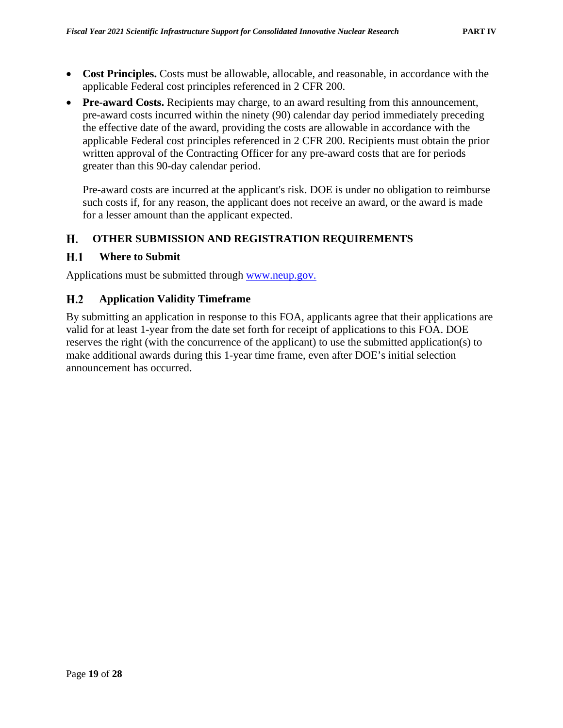- Cost Principles. Costs must be allowable, allocable, and reasonable, in accordance with the applicable Federal cost principles referenced in 2 CFR 200.
- **Pre-award Costs.** Recipients may charge, to an award resulting from this announcement, pre-award costs incurred within the ninety (90) calendar day period immediately preceding the effective date of the award, providing the costs are allowable in accordance with the applicable Federal cost principles referenced in 2 CFR 200. Recipients must obtain the prior written approval of the Contracting Officer for any pre-award costs that are for periods greater than this 90-day calendar period.

Pre-award costs are incurred at the applicant's risk. DOE is under no obligation to reimburse such costs if, for any reason, the applicant does not receive an award, or the award is made for a lesser amount than the applicant expected.

### <span id="page-27-0"></span>Н. **OTHER SUBMISSION AND REGISTRATION REQUIREMENTS**

#### <span id="page-27-1"></span> $H.1$ **Where to Submit**

Applications must be submitted through [www.neup.gov.](http://www.neup.gov/)

### <span id="page-27-2"></span> $H.2$ **Application Validity Timeframe**

By submitting an application in response to this FOA, applicants agree that their applications are valid for at least 1-year from the date set forth for receipt of applications to this FOA. DOE reserves the right (with the concurrence of the applicant) to use the submitted application(s) to make additional awards during this 1-year time frame, even after DOE's initial selection announcement has occurred.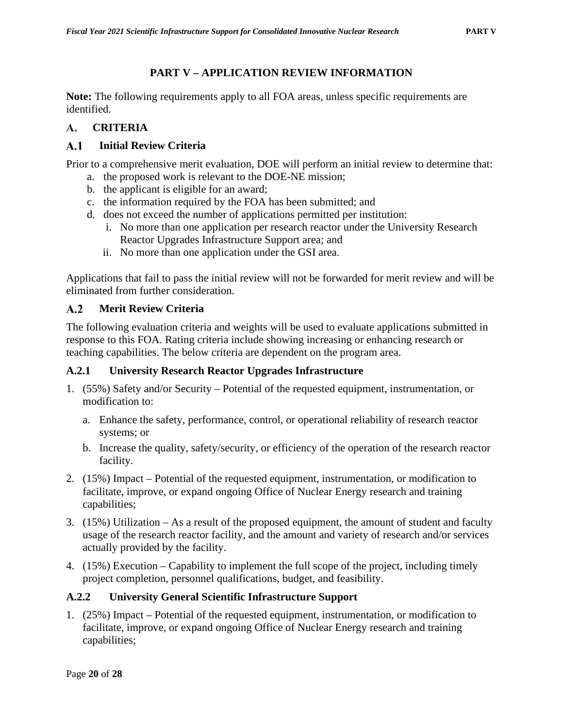# **PART V – APPLICATION REVIEW INFORMATION**

<span id="page-28-0"></span>**Note:** The following requirements apply to all FOA areas, unless specific requirements are identified.

### <span id="page-28-1"></span> $\mathbf{A}$ . **CRITERIA**

### <span id="page-28-2"></span> $A.1$ **Initial Review Criteria**

Prior to a comprehensive merit evaluation, DOE will perform an initial review to determine that:

- a. the proposed work is relevant to the DOE-NE mission;
- b. the applicant is eligible for an award;
- c. the information required by the FOA has been submitted; and
- d. does not exceed the number of applications permitted per institution:
	- i. No more than one application per research reactor under the University Research Reactor Upgrades Infrastructure Support area; and
	- ii. No more than one application under the GSI area.

Applications that fail to pass the initial review will not be forwarded for merit review and will be eliminated from further consideration.

### <span id="page-28-3"></span> $A.2$ **Merit Review Criteria**

The following evaluation criteria and weights will be used to evaluate applications submitted in response to this FOA. Rating criteria include showing increasing or enhancing research or teaching capabilities. The below criteria are dependent on the program area.

### <span id="page-28-4"></span>**A.2.1 University Research Reactor Upgrades Infrastructure**

- 1. (55%) Safety and/or Security Potential of the requested equipment, instrumentation, or modification to:
	- a. Enhance the safety, performance, control, or operational reliability of research reactor systems; or
	- b. Increase the quality, safety/security, or efficiency of the operation of the research reactor facility.
- 2. (15%) Impact Potential of the requested equipment, instrumentation, or modification to facilitate, improve, or expand ongoing Office of Nuclear Energy research and training capabilities;
- 3. (15%) Utilization As a result of the proposed equipment, the amount of student and faculty usage of the research reactor facility, and the amount and variety of research and/or services actually provided by the facility.
- 4. (15%) Execution Capability to implement the full scope of the project, including timely project completion, personnel qualifications, budget, and feasibility.

# <span id="page-28-5"></span>**A.2.2 University General Scientific Infrastructure Support**

1. (25%) Impact – Potential of the requested equipment, instrumentation, or modification to facilitate, improve, or expand ongoing Office of Nuclear Energy research and training capabilities;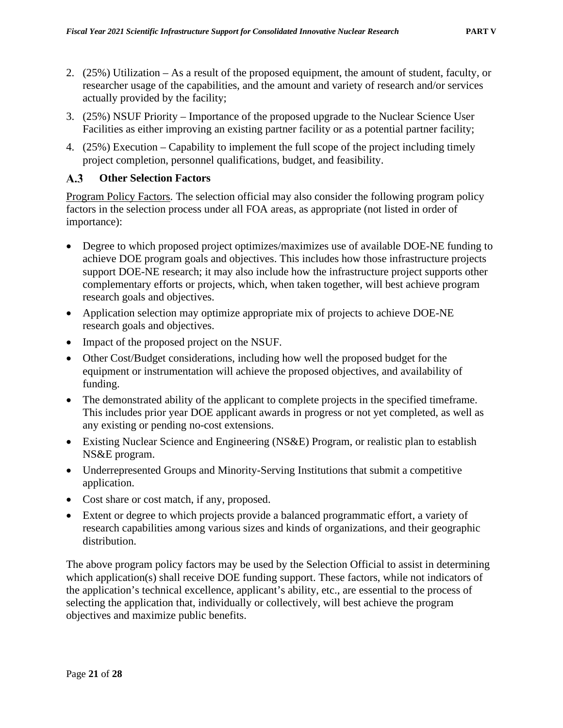- 2. (25%) Utilization As a result of the proposed equipment, the amount of student, faculty, or researcher usage of the capabilities, and the amount and variety of research and/or services actually provided by the facility;
- 3. (25%) NSUF Priority Importance of the proposed upgrade to the Nuclear Science User Facilities as either improving an existing partner facility or as a potential partner facility;
- 4. (25%) Execution Capability to implement the full scope of the project including timely project completion, personnel qualifications, budget, and feasibility.

#### <span id="page-29-0"></span> $A.3$ **Other Selection Factors**

Program Policy Factors. The selection official may also consider the following program policy factors in the selection process under all FOA areas, as appropriate (not listed in order of importance):

- Degree to which proposed project optimizes/maximizes use of available DOE-NE funding to achieve DOE program goals and objectives. This includes how those infrastructure projects support DOE-NE research; it may also include how the infrastructure project supports other complementary efforts or projects, which, when taken together, will best achieve program research goals and objectives.
- Application selection may optimize appropriate mix of projects to achieve DOE-NE research goals and objectives.
- Impact of the proposed project on the NSUF.
- Other Cost/Budget considerations, including how well the proposed budget for the equipment or instrumentation will achieve the proposed objectives, and availability of funding.
- The demonstrated ability of the applicant to complete projects in the specified timeframe. This includes prior year DOE applicant awards in progress or not yet completed, as well as any existing or pending no-cost extensions.
- Existing Nuclear Science and Engineering (NS&E) Program, or realistic plan to establish NS&E program.
- Underrepresented Groups and Minority-Serving Institutions that submit a competitive application.
- Cost share or cost match, if any, proposed.
- Extent or degree to which projects provide a balanced programmatic effort, a variety of research capabilities among various sizes and kinds of organizations, and their geographic distribution.

The above program policy factors may be used by the Selection Official to assist in determining which application(s) shall receive DOE funding support. These factors, while not indicators of the application's technical excellence, applicant's ability, etc., are essential to the process of selecting the application that, individually or collectively, will best achieve the program objectives and maximize public benefits.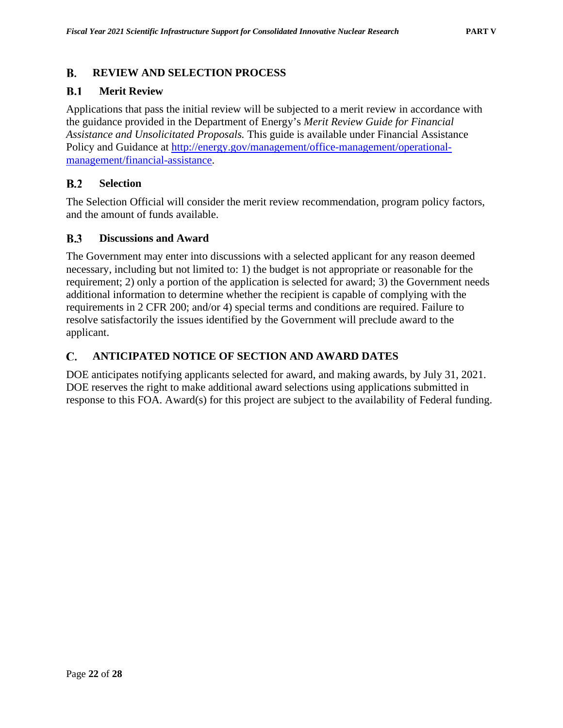### <span id="page-30-0"></span> $\bf{B}$ . **REVIEW AND SELECTION PROCESS**

#### <span id="page-30-1"></span> $B.1$ **Merit Review**

Applications that pass the initial review will be subjected to a merit review in accordance with the guidance provided in the Department of Energy's *Merit Review Guide for Financial Assistance and Unsolicitated Proposals.* This guide is available under Financial Assistance Policy and Guidance at [http://energy.gov/management/office-management/operational](http://energy.gov/management/office-management/operational-management/financial-assistance)[management/financial-assistance.](http://energy.gov/management/office-management/operational-management/financial-assistance)

#### <span id="page-30-2"></span> $B.2$ **Selection**

The Selection Official will consider the merit review recommendation, program policy factors, and the amount of funds available.

#### <span id="page-30-3"></span> $B.3$ **Discussions and Award**

The Government may enter into discussions with a selected applicant for any reason deemed necessary, including but not limited to: 1) the budget is not appropriate or reasonable for the requirement; 2) only a portion of the application is selected for award; 3) the Government needs additional information to determine whether the recipient is capable of complying with the requirements in 2 CFR 200; and/or 4) special terms and conditions are required. Failure to resolve satisfactorily the issues identified by the Government will preclude award to the applicant.

### <span id="page-30-4"></span> $\mathbf{C}$ . **ANTICIPATED NOTICE OF SECTION AND AWARD DATES**

DOE anticipates notifying applicants selected for award, and making awards, by July 31, 2021. DOE reserves the right to make additional award selections using applications submitted in response to this FOA. Award(s) for this project are subject to the availability of Federal funding.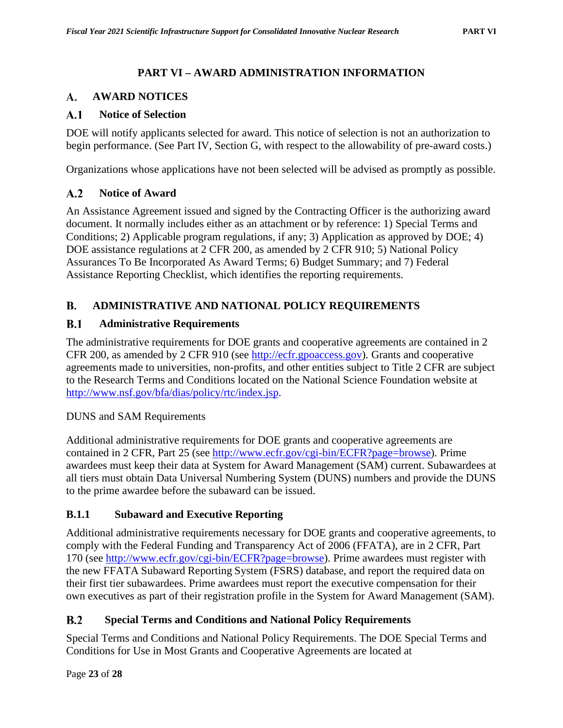# **PART VI – AWARD ADMINISTRATION INFORMATION**

### <span id="page-31-1"></span><span id="page-31-0"></span>**AWARD NOTICES A.**

#### <span id="page-31-2"></span> $A.1$ **Notice of Selection**

DOE will notify applicants selected for award. This notice of selection is not an authorization to begin performance. (See Part IV, Section G, with respect to the allowability of pre-award costs.)

Organizations whose applications have not been selected will be advised as promptly as possible.

#### <span id="page-31-3"></span> $A.2$ **Notice of Award**

An Assistance Agreement issued and signed by the Contracting Officer is the authorizing award document. It normally includes either as an attachment or by reference: 1) Special Terms and Conditions; 2) Applicable program regulations, if any; 3) Application as approved by DOE; 4) DOE assistance regulations at 2 CFR 200, as amended by 2 CFR 910; 5) National Policy Assurances To Be Incorporated As Award Terms; 6) Budget Summary; and 7) Federal Assistance Reporting Checklist, which identifies the reporting requirements.

### <span id="page-31-4"></span>**B. ADMINISTRATIVE AND NATIONAL POLICY REQUIREMENTS**

#### <span id="page-31-5"></span> $B.1$ **Administrative Requirements**

The administrative requirements for DOE grants and cooperative agreements are contained in 2 CFR 200, as amended by 2 CFR 910 (see [http://ecfr.gpoaccess.gov\)](http://www.ecfr.gov/cgi-bin/ECFR?page=browse). Grants and cooperative agreements made to universities, non-profits, and other entities subject to Title 2 CFR are subject to the Research Terms and Conditions located on the National Science Foundation website at [http://www.nsf.gov/bfa/dias/policy/rtc/index.jsp.](http://www.nsf.gov/bfa/dias/policy/rtc/index.jsp)

### DUNS and SAM Requirements

Additional administrative requirements for DOE grants and cooperative agreements are contained in 2 CFR, Part 25 (see [http://www.ecfr.gov/cgi-bin/ECFR?page=browse\)](http://www.ecfr.gov/cgi-bin/ECFR?page=browse). Prime awardees must keep their data at System for Award Management (SAM) current. Subawardees at all tiers must obtain Data Universal Numbering System (DUNS) numbers and provide the DUNS to the prime awardee before the subaward can be issued.

### <span id="page-31-6"></span>**B.1.1 Subaward and Executive Reporting**

Additional administrative requirements necessary for DOE grants and cooperative agreements, to comply with the Federal Funding and Transparency Act of 2006 (FFATA), are in 2 CFR, Part 170 (see [http://www.ecfr.gov/cgi-bin/ECFR?page=browse\)](http://www.ecfr.gov/cgi-bin/ECFR?page=browse). Prime awardees must register with the new FFATA Subaward Reporting System (FSRS) database, and report the required data on their first tier subawardees. Prime awardees must report the executive compensation for their own executives as part of their registration profile in the System for Award Management (SAM).

### <span id="page-31-7"></span> $B.2$  **Special Terms and Conditions and National Policy Requirements**

Special Terms and Conditions and National Policy Requirements. The DOE Special Terms and Conditions for Use in Most Grants and Cooperative Agreements are located at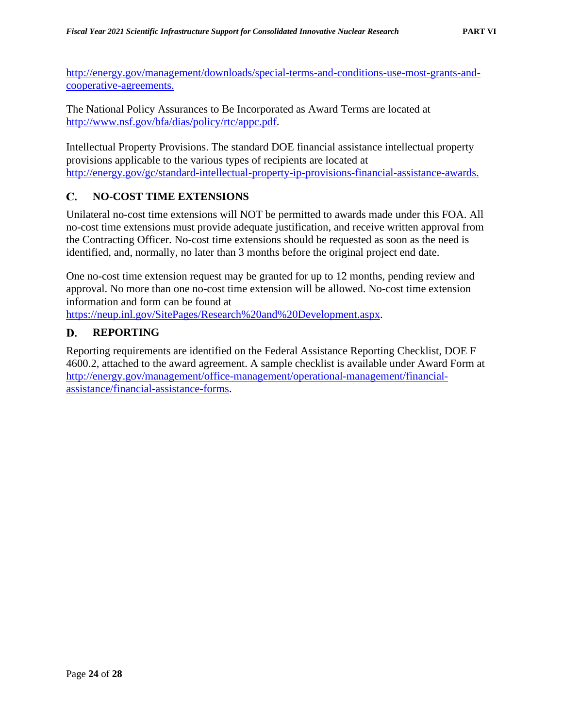[http://energy.gov/management/downloads/special-terms-and-conditions-use-most-grants-and](http://energy.gov/management/downloads/special-terms-and-conditions-use-most-grants-and-cooperative-agreements)[cooperative-agreements.](http://energy.gov/management/downloads/special-terms-and-conditions-use-most-grants-and-cooperative-agreements)

The National Policy Assurances to Be Incorporated as Award Terms are located at [http://www.nsf.gov/bfa/dias/policy/rtc/appc.pdf.](http://www.nsf.gov/bfa/dias/policy/rtc/appc.pdf)

Intellectual Property Provisions. The standard DOE financial assistance intellectual property provisions applicable to the various types of recipients are located at [http://energy.gov/gc/standard-intellectual-property-ip-provisions-financial-assistance-awards.](http://energy.gov/gc/standard-intellectual-property-ip-provisions-financial-assistance-awards)

### <span id="page-32-0"></span>C. **NO-COST TIME EXTENSIONS**

Unilateral no-cost time extensions will NOT be permitted to awards made under this FOA. All no-cost time extensions must provide adequate justification, and receive written approval from the Contracting Officer. No-cost time extensions should be requested as soon as the need is identified, and, normally, no later than 3 months before the original project end date.

One no-cost time extension request may be granted for up to 12 months, pending review and approval. No more than one no-cost time extension will be allowed. No-cost time extension information and form can be found at

[https://neup.inl.gov/SitePages/Research%20and%20Development.aspx.](https://neup.inl.gov/SitePages/Research%20and%20Development.aspx)

### <span id="page-32-1"></span>D. **REPORTING**

Reporting requirements are identified on the Federal Assistance Reporting Checklist, DOE F 4600.2, attached to the award agreement. A sample checklist is available under Award Form at [http://energy.gov/management/office-management/operational-management/financial](http://energy.gov/management/office-management/operational-management/financial-assistance/financial-assistance-forms)[assistance/financial-assistance-forms.](http://energy.gov/management/office-management/operational-management/financial-assistance/financial-assistance-forms)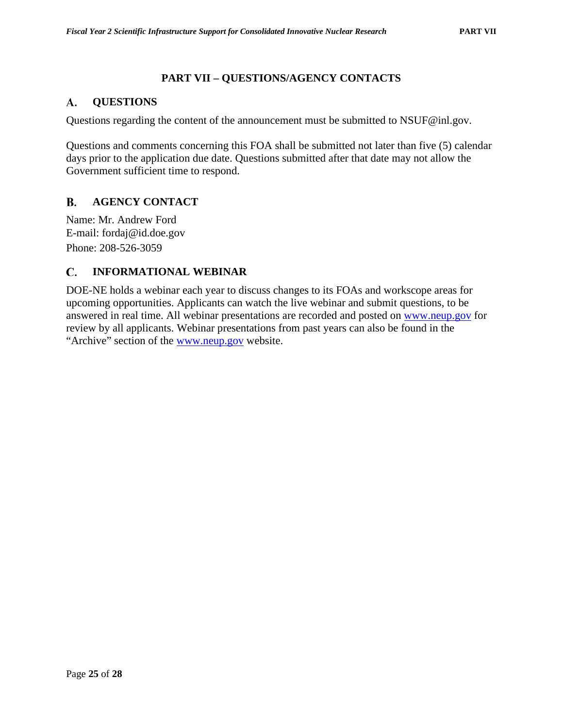# **PART VII – QUESTIONS/AGENCY CONTACTS**

#### <span id="page-33-1"></span><span id="page-33-0"></span>**QUESTIONS** A.

Questions regarding the content of the announcement must be submitted to NSUF@inl.gov.

Questions and comments concerning this FOA shall be submitted not later than five (5) calendar days prior to the application due date. Questions submitted after that date may not allow the Government sufficient time to respond.

### <span id="page-33-2"></span>**B. AGENCY CONTACT**

Name: Mr. Andrew Ford E-mail: fordaj@id.doe.gov Phone: 208-526-3059

### <span id="page-33-3"></span>C. **INFORMATIONAL WEBINAR**

DOE-NE holds a webinar each year to discuss changes to its FOAs and workscope areas for upcoming opportunities. Applicants can watch the live webinar and submit questions, to be answered in real time. All webinar presentations are recorded and posted on [www.neup.gov](http://www.neup.gov/) for review by all applicants. Webinar presentations from past years can also be found in the "Archive" section of the [www.neup.gov](http://www.neup.gov/) website.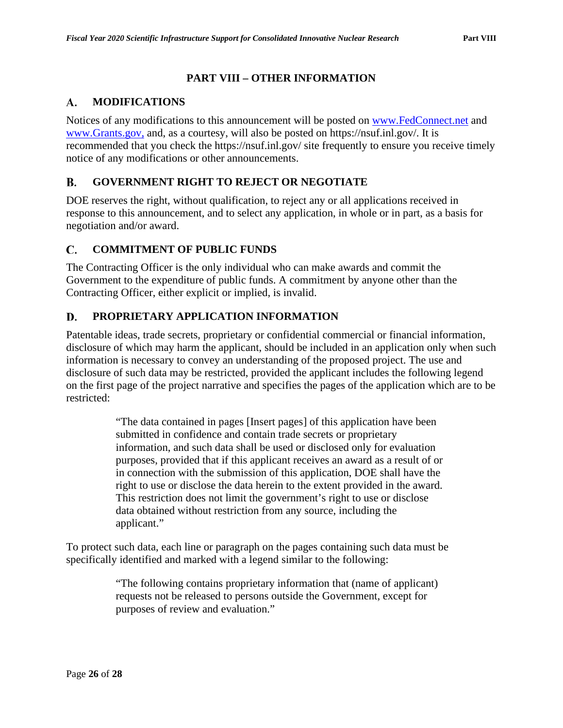# **PART VIII – OTHER INFORMATION**

#### <span id="page-34-1"></span><span id="page-34-0"></span>**MODIFICATIONS** A.

Notices of any modifications to this announcement will be posted on [www.FedConnect.net](http://www.fedconnect.net/) and [www.Grants.gov,](http://www.grants.gov/) and, as a courtesy, will also be posted on https://nsuf.inl.gov/. It is recommended that you check the https://nsuf.inl.gov/ site frequently to ensure you receive timely notice of any modifications or other announcements.

#### <span id="page-34-2"></span>**GOVERNMENT RIGHT TO REJECT OR NEGOTIATE B.**

DOE reserves the right, without qualification, to reject any or all applications received in response to this announcement, and to select any application, in whole or in part, as a basis for negotiation and/or award.

#### <span id="page-34-3"></span>C. **COMMITMENT OF PUBLIC FUNDS**

The Contracting Officer is the only individual who can make awards and commit the Government to the expenditure of public funds. A commitment by anyone other than the Contracting Officer, either explicit or implied, is invalid.

### <span id="page-34-4"></span>D. **PROPRIETARY APPLICATION INFORMATION**

Patentable ideas, trade secrets, proprietary or confidential commercial or financial information, disclosure of which may harm the applicant, should be included in an application only when such information is necessary to convey an understanding of the proposed project. The use and disclosure of such data may be restricted, provided the applicant includes the following legend on the first page of the project narrative and specifies the pages of the application which are to be restricted:

> "The data contained in pages [Insert pages] of this application have been submitted in confidence and contain trade secrets or proprietary information, and such data shall be used or disclosed only for evaluation purposes, provided that if this applicant receives an award as a result of or in connection with the submission of this application, DOE shall have the right to use or disclose the data herein to the extent provided in the award. This restriction does not limit the government's right to use or disclose data obtained without restriction from any source, including the applicant."

To protect such data, each line or paragraph on the pages containing such data must be specifically identified and marked with a legend similar to the following:

> "The following contains proprietary information that (name of applicant) requests not be released to persons outside the Government, except for purposes of review and evaluation."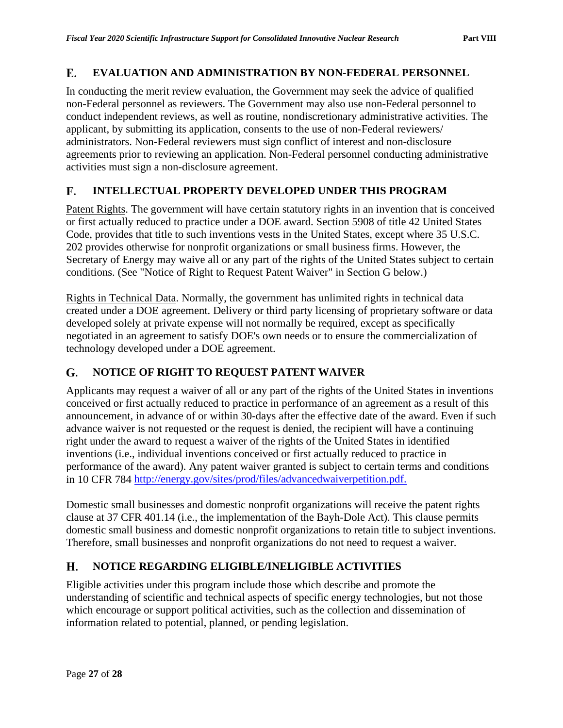### <span id="page-35-0"></span> $\mathbf{E}$ . **EVALUATION AND ADMINISTRATION BY NON-FEDERAL PERSONNEL**

In conducting the merit review evaluation, the Government may seek the advice of qualified non-Federal personnel as reviewers. The Government may also use non-Federal personnel to conduct independent reviews, as well as routine, nondiscretionary administrative activities. The applicant, by submitting its application, consents to the use of non-Federal reviewers/ administrators. Non-Federal reviewers must sign conflict of interest and non-disclosure agreements prior to reviewing an application. Non-Federal personnel conducting administrative activities must sign a non-disclosure agreement.

### <span id="page-35-1"></span>**INTELLECTUAL PROPERTY DEVELOPED UNDER THIS PROGRAM** F.

Patent Rights. The government will have certain statutory rights in an invention that is conceived or first actually reduced to practice under a DOE award. Section 5908 of title 42 United States Code, provides that title to such inventions vests in the United States, except where 35 U.S.C. 202 provides otherwise for nonprofit organizations or small business firms. However, the Secretary of Energy may waive all or any part of the rights of the United States subject to certain conditions. (See "Notice of Right to Request Patent Waiver" in Section G below.)

Rights in Technical Data. Normally, the government has unlimited rights in technical data created under a DOE agreement. Delivery or third party licensing of proprietary software or data developed solely at private expense will not normally be required, except as specifically negotiated in an agreement to satisfy DOE's own needs or to ensure the commercialization of technology developed under a DOE agreement.

### <span id="page-35-2"></span>**NOTICE OF RIGHT TO REQUEST PATENT WAIVER** G.

Applicants may request a waiver of all or any part of the rights of the United States in inventions conceived or first actually reduced to practice in performance of an agreement as a result of this announcement, in advance of or within 30-days after the effective date of the award. Even if such advance waiver is not requested or the request is denied, the recipient will have a continuing right under the award to request a waiver of the rights of the United States in identified inventions (i.e., individual inventions conceived or first actually reduced to practice in performance of the award). Any patent waiver granted is subject to certain terms and conditions in 10 CFR 784 [http://energy.gov/sites/prod/files/advancedwaiverpetition.pdf.](http://energy.gov/sites/prod/files/advancedwaiverpetition.pdf)

Domestic small businesses and domestic nonprofit organizations will receive the patent rights clause at 37 CFR 401.14 (i.e., the implementation of the Bayh-Dole Act). This clause permits domestic small business and domestic nonprofit organizations to retain title to subject inventions. Therefore, small businesses and nonprofit organizations do not need to request a waiver.

### <span id="page-35-3"></span>H. **NOTICE REGARDING ELIGIBLE/INELIGIBLE ACTIVITIES**

Eligible activities under this program include those which describe and promote the understanding of scientific and technical aspects of specific energy technologies, but not those which encourage or support political activities, such as the collection and dissemination of information related to potential, planned, or pending legislation.